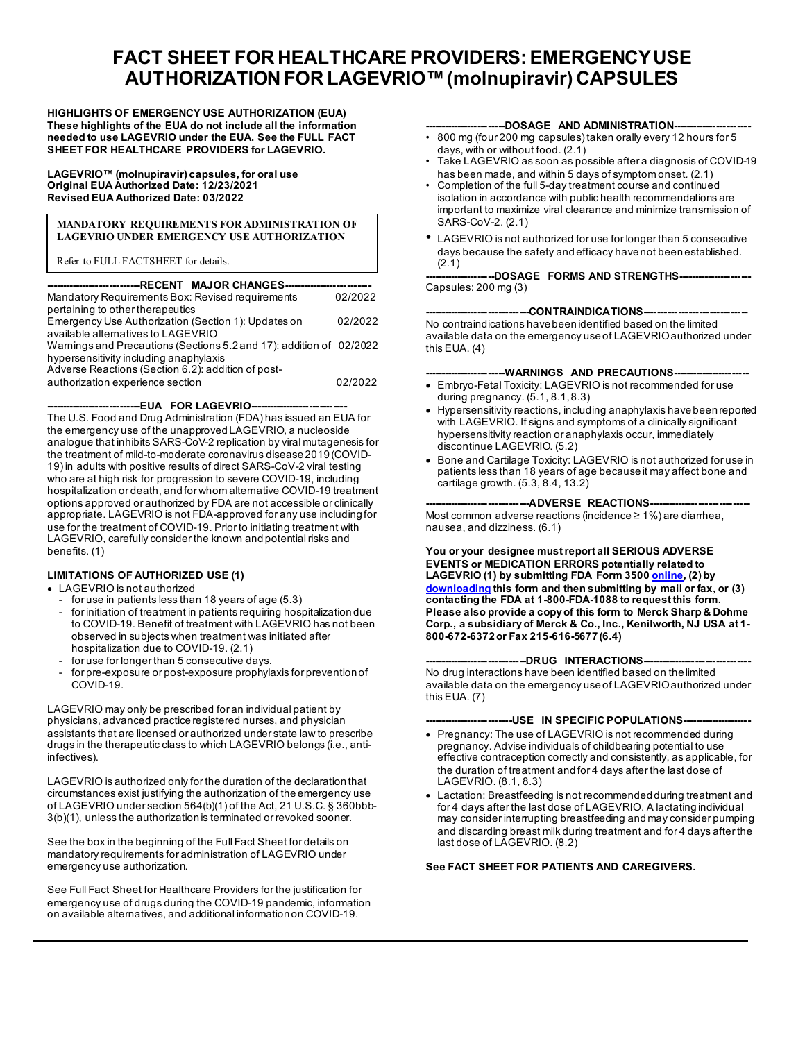# **FACT SHEET FOR HEALTHCARE PROVIDERS: EMERGENCY USE AUTHORIZATION FOR LAGEVRIO™(molnupiravir) CAPSULES**

**HIGHLIGHTS OF EMERGENCY USE AUTHORIZATION (EUA) These highlights of the EUA do not include all the information needed to use LAGEVRIO under the EUA. See the FULL FACT SHEET FOR HEALTHCARE PROVIDERS for LAGEVRIO.**

**LAGEVRIO™ (molnupiravir) capsules, for oral use Original EUA Authorized Date: 12/23/2021 Revised EUA Authorized Date: 03/2022**

#### **MANDATORY REQUIREMENTS FOR ADMINISTRATION OF LAGEVRIO UNDER EMERGENCY USE AUTHORIZATION**

Refer to FULL FACTSHEET for details.

| -------------------------RECENT   MAJOR CHANGES---------------------- |         |
|-----------------------------------------------------------------------|---------|
| Mandatory Requirements Box: Revised requirements                      | 02/2022 |
| pertaining to other therapeutics                                      |         |
| Emergency Use Authorization (Section 1): Updates on                   | 02/2022 |
| available alternatives to LAGEVRIO                                    |         |
| Warnings and Precautions (Sections 5.2 and 17): addition of 02/2022   |         |
| hypersensitivity including anaphylaxis                                |         |
| Adverse Reactions (Section 6.2): addition of post-                    |         |
| authorization experience section                                      | 02/2022 |
|                                                                       |         |

**----------------------------EUA FOR LAGEVRIO-----------------------------**

The U.S. Food and Drug Administration (FDA) has issued an EUA for the emergency use of the unapproved LAGEVRIO, a nucleoside analogue that inhibits SARS-CoV-2 replication by viral mutagenesis for the treatment of mild-to-moderate coronavirus disease 2019 (COVID-19) in adults with positive results of direct SARS-CoV-2 viral testing who are at high risk for progression to severe COVID-19, including hospitalization or death, and for whom alternative COVID-19 treatment options approved or authorized by FDA are not accessible or clinically appropriate. LAGEVRIO is not FDA-approved for any use including for use for the treatment of COVID-19. Prior to initiating treatment with LAGEVRIO, carefully consider the known and potential risks and benefits. (1)

#### **LIMITATIONS OF AUTHORIZED USE (1)**

#### • LAGEVRIO is not authorized

- for use in patients less than 18 years of age (5.3)
- for initiation of treatment in patients requiring hospitalization due to COVID-19. Benefit of treatment with LAGEVRIO has not been observed in subjects when treatment was initiated after hospitalization due to COVID-19. (2.1)
- for use for longer than 5 consecutive days.
- for pre-exposure or post-exposure prophylaxis for prevention of COVID-19.

LAGEVRIO may only be prescribed for an individual patient by physicians, advanced practice registered nurses, and physician assistants that are licensed or authorized under state law to prescribe drugs in the therapeutic class to which LAGEVRIO belongs (i.e., antiinfectives).

LAGEVRIO is authorized only for the duration of the declaration that circumstances exist justifying the authorization of the emergency use of LAGEVRIO under section 564(b)(1) of the Act, 21 U.S.C. § 360bbb-3(b)(1), unless the authorization is terminated or revoked sooner.

See the box in the beginning of the Full Fact Sheet for details on mandatory requirements for administration of LAGEVRIO under emergency use authorization.

See Full Fact Sheet for Healthcare Providers for the justification for emergency use of drugs during the COVID-19 pandemic, information on available alternatives, and additional information on COVID-19.

#### -DOSAGE AND ADMINISTRATION--

- 800 mg (four 200 mg capsules) taken orally every 12 hours for 5 days, with or without food. (2.1)
- Take LAGEVRIO as soon as possible after a diagnosis of COVID-19 has been made, and within 5 days of symptom onset*.* (2.1)
- Completion of the full 5-day treatment course and continued isolation in accordance with public health recommendations are important to maximize viral clearance and minimize transmission of SARS-CoV-2. (2.1)
- LAGEVRIO is not authorized for use for longer than 5 consecutive days because the safety and efficacy have not been established. (2.1)

-DOSAGE FORMS AND STRENGTHS----Capsules: 200 mg (3)

**-------------------------------CONTRAINDICATIONS------------------------------** No contraindications have been identified based on the limited available data on the emergency use of LAGEVRIOauthorized under this EUA. (4)

#### ------WARNINGS AND PRECAUTIONS----

- Embryo-Fetal Toxicity: LAGEVRIO is not recommended for use during pregnancy. (5.1, 8.1, 8.3)
- Hypersensitivity reactions, including anaphylaxis have been reported with LAGEVRIO. If signs and symptoms of a clinically significant hypersensitivity reaction or anaphylaxis occur, immediately discontinue LAGEVRIO. (5.2)
- Bone and Cartilage Toxicity: LAGEVRIO is not authorized for use in patients less than 18 years of age because it may affect bone and cartilage growth.  $(5.3, 8.4, 13.2)$

#### **-------------------------------ADVERSE REACTIONS------------------------------**

Most common adverse reactions (incidence ≥ 1%) are diarrhea, nausea, and dizziness. (6.1)

**You or your designee must report all SERIOUS ADVERSE EVENTS or MEDICATION ERRORS potentially related to LAGEVRIO (1) by submitting FDA Form 350[0 online,](http://www.fda.gov/medwatch/report.htm) (2) by [downloading](https://www.fda.gov/media/76299/download) this form and then submitting by mail or fax, or (3) contacting the FDA at 1-800-FDA-1088 to request this form. Please also provide a copy of this form to Merck Sharp & Dohme Corp., a subsidiary of Merck & Co., Inc., Kenilworth, NJ USA at 1- 800-672-6372 or Fax 215-616-5677 (6.4)**

#### **------------------------------DRUG INTERACTIONS--------------------------------**

No drug interactions have been identified based on the limited available data on the emergency use of LAGEVRIOauthorized under this EUA. (7)

#### **--------------------------USE IN SPECIFIC POPULATIONS---------------------**

- Pregnancy: The use of LAGEVRIO is not recommended during pregnancy. Advise individuals of childbearing potential to use effective contraception correctly and consistently, as applicable, for the duration of treatment and for 4 days after the last dose of LAGEVRIO. (8.1, 8.3)
- Lactation: Breastfeeding is not recommended during treatment and for 4 days after the last dose of LAGEVRIO. A lactating individual may consider interrupting breastfeeding and may consider pumping and discarding breast milk during treatment and for 4 days after the last dose of LAGEVRIO. (8.2)

#### **See FACT SHEET FOR PATIENTS AND CAREGIVERS.**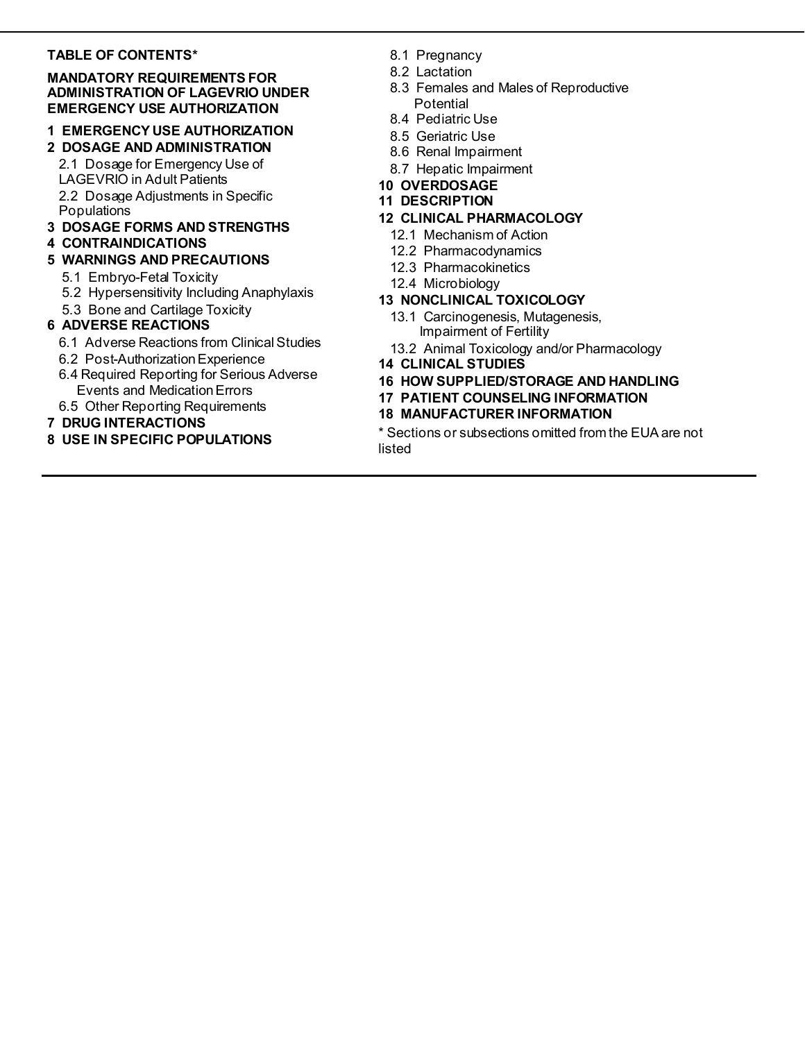# **TABLE OF CONTENTS\***

### **MANDATORY REQUIREMENTS FOR ADMINISTRATION OF LAGEVRIO UNDER EMERGENCY USE AUTHORIZATION**

# **1 EMERGENCY USE AUTHORIZATION**

# **2 DOSAGE AND ADMINISTRATION**

2.1 Dosage for Emergency Use of LAGEVRIO in Adult Patients 2.2 Dosage Adjustments in Specific Populations

# **3 DOSAGE FORMS AND STRENGTHS**

# **4 CONTRAINDICATIONS**

# **5 WARNINGS AND PRECAUTIONS**

- 5.1 Embryo-Fetal Toxicity
- 5.2 Hypersensitivity Including Anaphylaxis
- 5.3 Bone and Cartilage Toxicity

# **6 ADVERSE REACTIONS**

- 6.1 Adverse Reactions from Clinical Studies
- 6.2 Post-Authorization Experience
- 6.4 Required Reporting for Serious Adverse Events and Medication Errors
- 6.5 Other Reporting Requirements

# **7 DRUG INTERACTIONS**

**8 USE IN SPECIFIC POPULATIONS**

- 8.1 Pregnancy
- 8.2 Lactation
- 8.3 Females and Males of Reproductive **Potential**
- 8.4 Pediatric Use
- 8.5 Geriatric Use
- 8.6 Renal Impairment
- 8.7 Hepatic Impairment
- **10 OVERDOSAGE**
- **11 DESCRIPTION**

# **12 CLINICAL PHARMACOLOGY**

- 12.1 Mechanism of Action
- 12.2 Pharmacodynamics
- 12.3 Pharmacokinetics
- 12.4 Microbiology

# **13 NONCLINICAL TOXICOLOGY**

- 13.1 Carcinogenesis, Mutagenesis, Impairment of Fertility
- 13.2 Animal Toxicology and/or Pharmacology
- **14 CLINICAL STUDIES**
- **16 HOW SUPPLIED/STORAGE AND HANDLING**
- **17 PATIENT COUNSELING INFORMATION**

# **18 MANUFACTURER INFORMATION**

\* Sections or subsections omitted from the EUA are not listed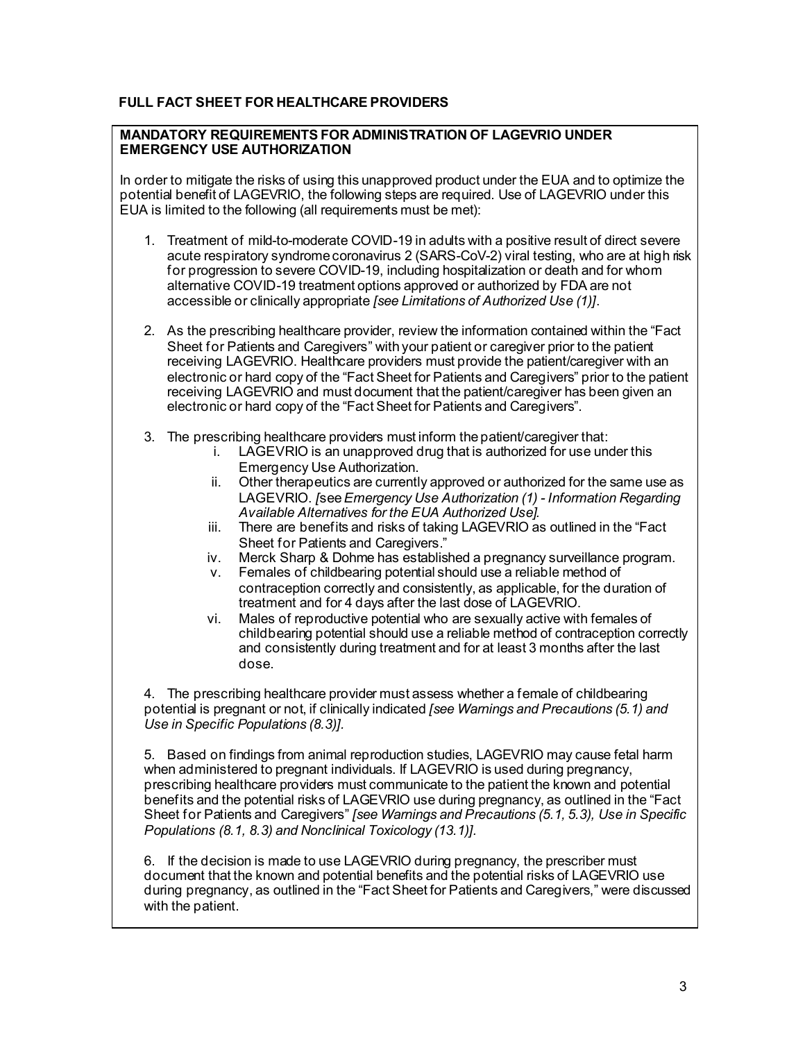# **FULL FACT SHEET FOR HEALTHCARE PROVIDERS**

# **MANDATORY REQUIREMENTS FOR ADMINISTRATION OF LAGEVRIO UNDER EMERGENCY USE AUTHORIZATION**

In order to mitigate the risks of using this unapproved product under the EUA and to optimize the potential benefit of LAGEVRIO, the following steps are required. Use of LAGEVRIO under this EUA is limited to the following (all requirements must be met):

- 1. Treatment of mild-to-moderate COVID-19 in adults with a positive result of direct severe acute respiratory syndrome coronavirus 2 (SARS-CoV-2) viral testing, who are at high risk for progression to severe COVID-19, including hospitalization or death and for whom alternative COVID-19 treatment options approved or authorized by FDA are not accessible or clinically appropriate *[see Limitations of Authorized Use (1)]*.
- 2. As the prescribing healthcare provider, review the information contained within the "Fact Sheet for Patients and Caregivers" with your patient or caregiver prior to the patient receiving LAGEVRIO. Healthcare providers must provide the patient/caregiver with an electronic or hard copy of the "Fact Sheet for Patients and Caregivers" prior to the patient receiving LAGEVRIO and must document that the patient/caregiver has been given an electronic or hard copy of the "Fact Sheet for Patients and Caregivers".
- 3. The prescribing healthcare providers must inform the patient/caregiver that:
	- i. LAGEVRIO is an unapproved drug that is authorized for use under this Emergency Use Authorization.
	- ii. Other therapeutics are currently approved or authorized for the same use as LAGEVRIO. *[*see *Emergency Use Authorization (1) - Information Regarding Available Alternatives for the EUA Authorized Use].*
	- iii. There are benefits and risks of taking LAGEVRIO as outlined in the "Fact Sheet for Patients and Caregivers."
	- iv. Merck Sharp & Dohme has established a pregnancy surveillance program.
	- v. Females of childbearing potential should use a reliable method of contraception correctly and consistently, as applicable, for the duration of treatment and for 4 days after the last dose of LAGEVRIO.
	- vi. Males of reproductive potential who are sexually active with females of childbearing potential should use a reliable method of contraception correctly and consistently during treatment and for at least 3 months after the last dose.

4. The prescribing healthcare provider must assess whether a female of childbearing potential is pregnant or not, if clinically indicated *[see Warnings and Precautions (5.1) and Use in Specific Populations (8.3)].*

5. Based on findings from animal reproduction studies, LAGEVRIO may cause fetal harm when administered to pregnant individuals. If LAGEVRIO is used during pregnancy, prescribing healthcare providers must communicate to the patient the known and potential benefits and the potential risks of LAGEVRIO use during pregnancy, as outlined in the "Fact Sheet for Patients and Caregivers" *[see Warnings and Precautions (5.1, 5.3), Use in Specific Populations (8.1, 8.3) and Nonclinical Toxicology (13.1)].*

6. If the decision is made to use LAGEVRIO during pregnancy, the prescriber must document that the known and potential benefits and the potential risks of LAGEVRIO use during pregnancy, as outlined in the "Fact Sheet for Patients and Caregivers," were discussed with the patient.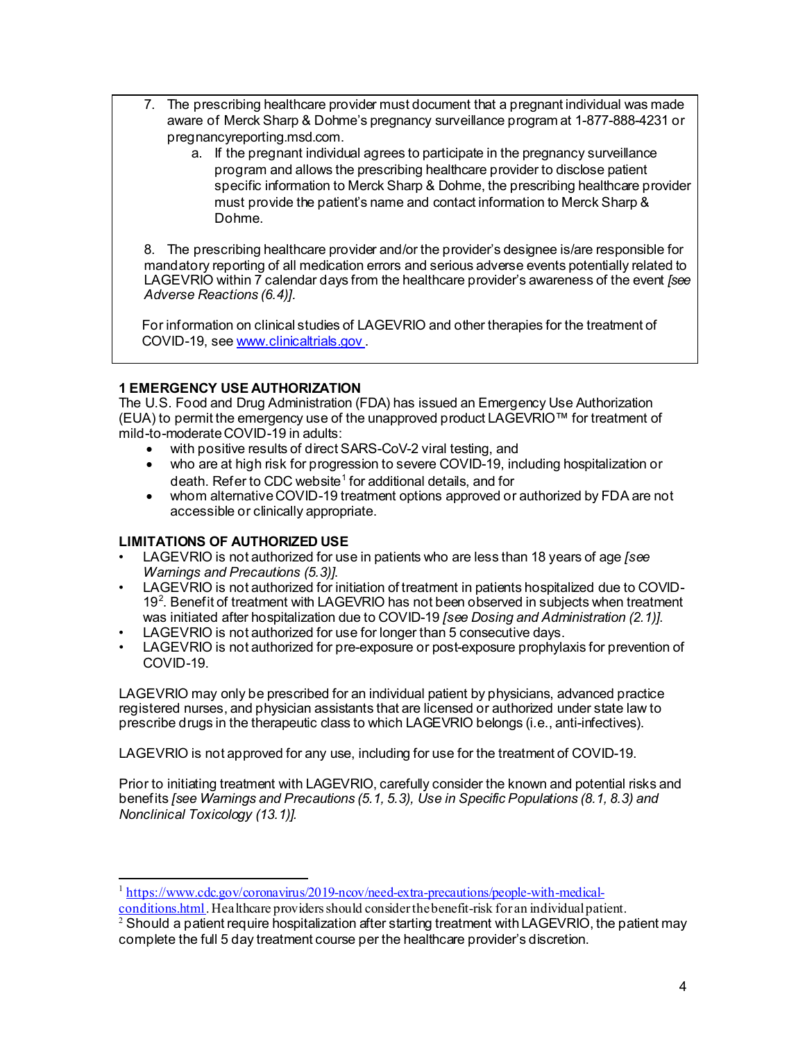- 7. The prescribing healthcare provider must document that a pregnant individual was made aware of Merck Sharp & Dohme's pregnancy surveillance program at 1-877-888-4231 or pregnancyreporting.msd.com.
	- a. If the pregnant individual agrees to participate in the pregnancy surveillance program and allows the prescribing healthcare provider to disclose patient specific information to Merck Sharp & Dohme, the prescribing healthcare provider must provide the patient's name and contact information to Merck Sharp & Dohme.

8. The prescribing healthcare provider and/or the provider's designee is/are responsible for mandatory reporting of all medication errors and serious adverse events potentially related to LAGEVRIO within 7 calendar days from the healthcare provider's awareness of the event *[see Adverse Reactions (6.4)].*

For information on clinical studies of LAGEVRIO and other therapies for the treatment of COVID-19, se[e www.clinicaltrials.gov](http://www.clinicaltrials.gov/) .

# **1 EMERGENCY USE AUTHORIZATION**

The U.S. Food and Drug Administration (FDA) has issued an Emergency Use Authorization (EUA) to permit the emergency use of the unapproved product LAGEVRIO™ for treatment of mild-to-moderate COVID-19 in adults:

- with positive results of direct SARS-CoV-2 viral testing, and
- who are at high risk for progression to severe COVID-19, including hospitalization or death. Refer to CDC website<sup>[1](#page-3-0)</sup> for additional details, and for
- whom alternative COVID-19 treatment options approved or authorized by FDA are not accessible or clinically appropriate.

# **LIMITATIONS OF AUTHORIZED USE**

- LAGEVRIO is not authorized for use in patients who are less than 18 years of age *[see Warnings and Precautions (5.3)]*.
- LAGEVRIO is not authorized for initiation of treatment in patients hospitalized due to COVID-19 $2$ . Benefit of treatment with LAGEVRIO has not been observed in subjects when treatment was initiated after hospitalization due to COVID-19 *[see Dosing and Administration (2.1)]*.
- LAGEVRIO is not authorized for use for longer than 5 consecutive days.
- LAGEVRIO is not authorized for pre-exposure or post-exposure prophylaxis for prevention of COVID-19.

LAGEVRIO may only be prescribed for an individual patient by physicians, advanced practice registered nurses, and physician assistants that are licensed or authorized under state law to prescribe drugs in the therapeutic class to which LAGEVRIO belongs (i.e., anti-infectives).

LAGEVRIO is not approved for any use, including for use for the treatment of COVID-19.

Prior to initiating treatment with LAGEVRIO, carefully consider the known and potential risks and benefits *[see Warnings and Precautions (5.1, 5.3), Use in Specific Populations (8.1, 8.3) and Nonclinical Toxicology (13.1)].*

<sup>1</sup> [https://www.cdc.gov/coronavirus/2019-ncov/need-extra-precautions/people-with-medical-](https://www.cdc.gov/coronavirus/2019-ncov/need-extra-precautions/people-with-medical-conditions.html)

<span id="page-3-0"></span>[conditions.html](https://www.cdc.gov/coronavirus/2019-ncov/need-extra-precautions/people-with-medical-conditions.html). Healthcare providers should consider the benefit-risk for an individual patient.

<span id="page-3-1"></span> $2$  Should a patient require nospitalization after starting treatment with LAGEVRIO, the patient may complete the full 5 day treatment course per the healthcare provider's discretion.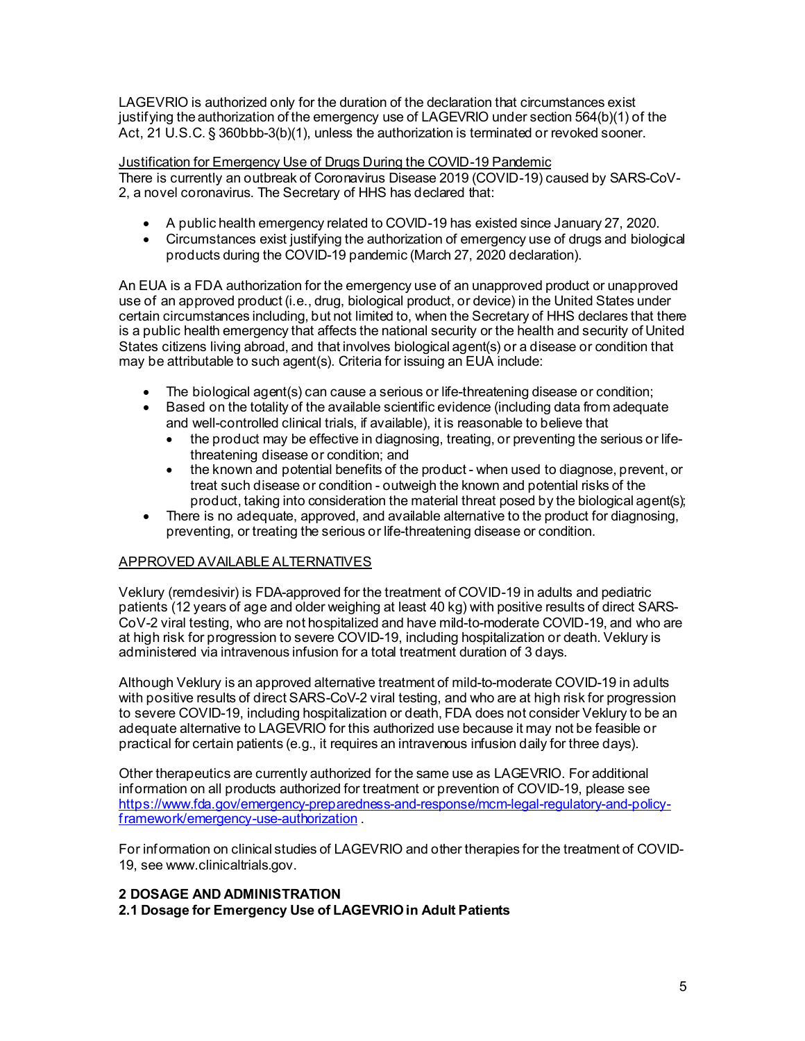LAGEVRIO is authorized only for the duration of the declaration that circumstances exist justifying the authorization of the emergency use of LAGEVRIO under section 564(b)(1) of the Act, 21 U.S.C. § 360bbb-3(b)(1), unless the authorization is terminated or revoked sooner.

Justification for Emergency Use of Drugs During the COVID-19 Pandemic There is currently an outbreak of Coronavirus Disease 2019 (COVID-19) caused by SARS-CoV-2, a novel coronavirus. The Secretary of HHS has declared that:

- A public health emergency related to COVID-19 has existed since January 27, 2020.
- Circumstances exist justifying the authorization of emergency use of drugs and biological products during the COVID-19 pandemic (March 27, 2020 declaration).

An EUA is a FDA authorization for the emergency use of an unapproved product or unapproved use of an approved product (i.e., drug, biological product, or device) in the United States under certain circumstances including, but not limited to, when the Secretary of HHS declares that there is a public health emergency that affects the national security or the health and security of United States citizens living abroad, and that involves biological agent(s) or a disease or condition that may be attributable to such agent(s). Criteria for issuing an EUA include:

- The biological agent(s) can cause a serious or life-threatening disease or condition;<br>• Based on the totality of the available scientific evidence (including data from adequa
- Based on the totality of the available scientific evidence (including data from adequate and well-controlled clinical trials, if available), it is reasonable to believe that
	- the product may be effective in diagnosing, treating, or preventing the serious or lifethreatening disease or condition; and
	- the known and potential benefits of the product when used to diagnose, prevent, or treat such disease or condition - outweigh the known and potential risks of the product, taking into consideration the material threat posed by the biological agent(s);
- There is no adequate, approved, and available alternative to the product for diagnosing, preventing, or treating the serious or life-threatening disease or condition.

# APPROVED AVAILABLE ALTERNATIVES

Veklury (remdesivir) is FDA-approved for the treatment of COVID-19 in adults and pediatric patients (12 years of age and older weighing at least 40 kg) with positive results of direct SARS-CoV-2 viral testing, who are not hospitalized and have mild-to-moderate COVID-19, and who are at high risk for progression to severe COVID-19, including hospitalization or death. Veklury is administered via intravenous infusion for a total treatment duration of 3 days.

Although Veklury is an approved alternative treatment of mild-to-moderate COVID-19 in adults with positive results of direct SARS-CoV-2 viral testing, and who are at high risk for progression to severe COVID-19, including hospitalization or death, FDA does not consider Veklury to be an adequate alternative to LAGEVRIO for this authorized use because it may not be feasible or practical for certain patients (e.g., it requires an intravenous infusion daily for three days).

Other therapeutics are currently authorized for the same use as LAGEVRIO. For additional information on all products authorized for treatment or prevention of COVID-19, please see [https://www.fda.gov/emergency-preparedness-and-response/mcm-legal-regulatory-and-policy](https://www.fda.gov/emergency-preparedness-and-response/mcm-legal-regulatory-and-policy-framework/emergency-use-authorization)[framework/emergency-use-authorization](https://www.fda.gov/emergency-preparedness-and-response/mcm-legal-regulatory-and-policy-framework/emergency-use-authorization) .

For information on clinical studies of LAGEVRIO and other therapies for the treatment of COVID-19, see www.clinicaltrials.gov.

# **2 DOSAGE AND ADMINISTRATION**

**2.1 Dosage for Emergency Use of LAGEVRIOin Adult Patients**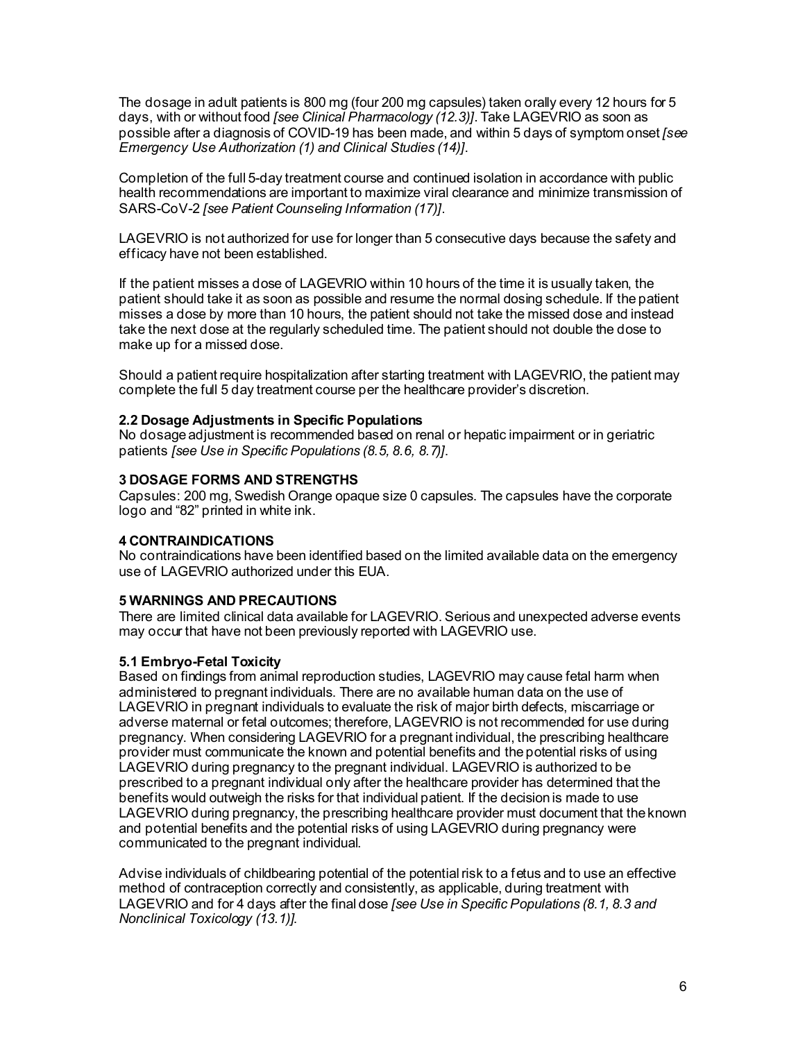The dosage in adult patients is 800 mg (four 200 mg capsules) taken orally every 12 hours for 5 days, with or without food *[see Clinical Pharmacology (12.3)]*. Take LAGEVRIO as soon as possible after a diagnosis of COVID-19 has been made, and within 5 days of symptom onset *[see Emergency Use Authorization (1) and Clinical Studies (14)]*.

Completion of the full 5-day treatment course and continued isolation in accordance with public health recommendations are important to maximize viral clearance and minimize transmission of SARS-CoV-2 *[see Patient Counseling Information (17)]*.

LAGEVRIO is not authorized for use for longer than 5 consecutive days because the safety and efficacy have not been established.

If the patient misses a dose of LAGEVRIO within 10 hours of the time it is usually taken, the patient should take it as soon as possible and resume the normal dosing schedule. If the patient misses a dose by more than 10 hours, the patient should not take the missed dose and instead take the next dose at the regularly scheduled time. The patient should not double the dose to make up for a missed dose.

Should a patient require hospitalization after starting treatment with LAGEVRIO, the patient may complete the full 5 day treatment course per the healthcare provider's discretion.

### **2.2 Dosage Adjustments in Specific Populations**

No dosage adjustment is recommended based on renal or hepatic impairment or in geriatric patients *[see Use in Specific Populations (8.5, 8.6, 8.7)]*.

### **3 DOSAGE FORMS AND STRENGTHS**

Capsules: 200 mg, Swedish Orange opaque size 0 capsules. The capsules have the corporate logo and "82" printed in white ink.

### **4 CONTRAINDICATIONS**

No contraindications have been identified based on the limited available data on the emergency use of LAGEVRIO authorized under this EUA.

### **5 WARNINGS AND PRECAUTIONS**

There are limited clinical data available for LAGEVRIO. Serious and unexpected adverse events may occur that have not been previously reported with LAGEVRIO use.

#### **5.1 Embryo-Fetal Toxicity**

Based on findings from animal reproduction studies, LAGEVRIO may cause fetal harm when administered to pregnant individuals. There are no available human data on the use of LAGEVRIO in pregnant individuals to evaluate the risk of major birth defects, miscarriage or adverse maternal or fetal outcomes; therefore, LAGEVRIO is not recommended for use during pregnancy. When considering LAGEVRIO for a pregnant individual, the prescribing healthcare provider must communicate the known and potential benefits and the potential risks of using LAGEVRIO during pregnancy to the pregnant individual. LAGEVRIO is authorized to be prescribed to a pregnant individual only after the healthcare provider has determined that the benefits would outweigh the risks for that individual patient. If the decision is made to use LAGEVRIO during pregnancy, the prescribing healthcare provider must document that the known and potential benefits and the potential risks of using LAGEVRIO during pregnancy were communicated to the pregnant individual.

Advise individuals of childbearing potential of the potential risk to a fetus and to use an effective method of contraception correctly and consistently, as applicable, during treatment with LAGEVRIO and for 4 days after the final dose *[see Use in Specific Populations (8.1, 8.3 and Nonclinical Toxicology (13.1)]*.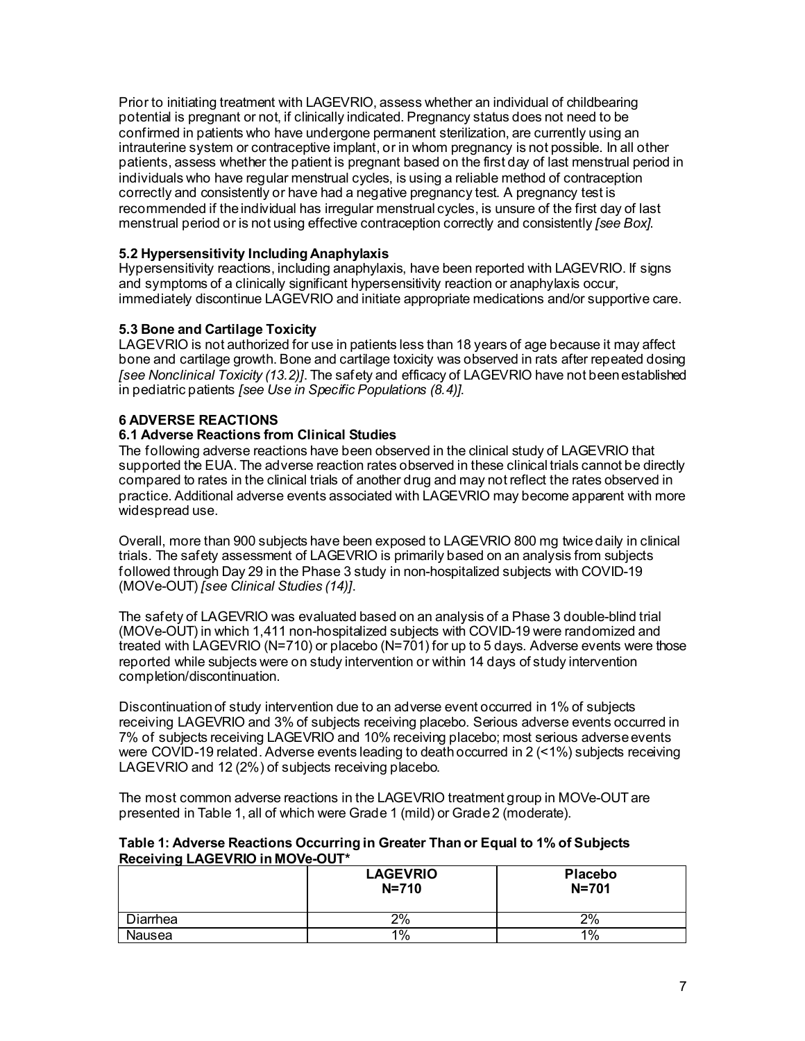Prior to initiating treatment with LAGEVRIO, assess whether an individual of childbearing potential is pregnant or not, if clinically indicated. Pregnancy status does not need to be confirmed in patients who have undergone permanent sterilization, are currently using an intrauterine system or contraceptive implant, or in whom pregnancy is not possible. In all other patients, assess whether the patient is pregnant based on the first day of last menstrual period in individuals who have regular menstrual cycles, is using a reliable method of contraception correctly and consistently or have had a negative pregnancy test. A pregnancy test is recommended if the individual has irregular menstrual cycles, is unsure of the first day of last menstrual period or is not using effective contraception correctly and consistently *[see Box]*.

# **5.2 Hypersensitivity Including Anaphylaxis**

Hypersensitivity reactions, including anaphylaxis, have been reported with LAGEVRIO. If signs and symptoms of a clinically significant hypersensitivity reaction or anaphylaxis occur, immediately discontinue LAGEVRIO and initiate appropriate medications and/or supportive care.

# **5.3 Bone and Cartilage Toxicity**

LAGEVRIO is not authorized for use in patients less than 18 years of age because it may affect bone and cartilage growth. Bone and cartilage toxicity was observed in rats after repeated dosing *[see Nonclinical Toxicity (13.2)]*. The safety and efficacy of LAGEVRIO have not been established in pediatric patients *[see Use in Specific Populations (8.4)]*.

# **6 ADVERSE REACTIONS**

# **6.1 Adverse Reactions from Clinical Studies**

The following adverse reactions have been observed in the clinical study of LAGEVRIO that supported the EUA. The adverse reaction rates observed in these clinical trials cannot be directly compared to rates in the clinical trials of another drug and may not reflect the rates observed in practice. Additional adverse events associated with LAGEVRIO may become apparent with more widespread use.

Overall, more than 900 subjects have been exposed to LAGEVRIO 800 mg twice daily in clinical trials. The safety assessment of LAGEVRIO is primarily based on an analysis from subjects followed through Day 29 in the Phase 3 study in non-hospitalized subjects with COVID-19 (MOVe-OUT) *[see Clinical Studies (14)]*.

The safety of LAGEVRIO was evaluated based on an analysis of a Phase 3 double-blind trial (MOVe-OUT) in which 1,411 non-hospitalized subjects with COVID-19 were randomized and treated with LAGEVRIO (N=710) or placebo (N=701) for up to 5 days. Adverse events were those reported while subjects were on study intervention or within 14 days of study intervention completion/discontinuation.

Discontinuation of study intervention due to an adverse event occurred in 1% of subjects receiving LAGEVRIO and 3% of subjects receiving placebo. Serious adverse events occurred in 7% of subjects receiving LAGEVRIO and 10% receiving placebo; most serious adverse events were COVID-19 related. Adverse events leading to death occurred in 2 (<1%) subjects receiving LAGEVRIO and 12 (2%) of subjects receiving placebo.

The most common adverse reactions in the LAGEVRIO treatment group in MOVe-OUT are presented in Table 1, all of which were Grade 1 (mild) or Grade 2 (moderate).

### **Table 1: Adverse Reactions Occurring in Greater Than or Equal to 1% of Subjects Receiving LAGEVRIO in MOVe-OUT\***

|          | <b>LAGEVRIO</b><br>$N = 710$ | <b>Placebo</b><br>$N = 701$ |
|----------|------------------------------|-----------------------------|
| Diarrhea | 2%                           | 2%                          |
| Nausea   | $1\%$                        | $1\%$                       |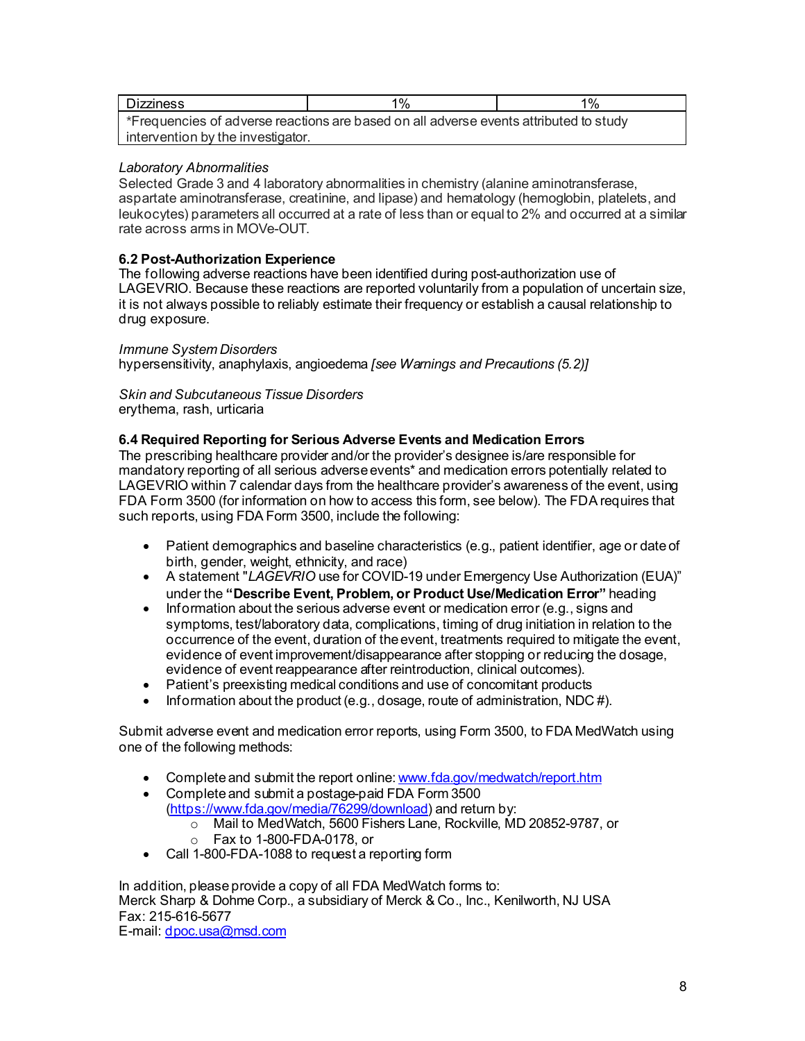| <b>Dizziness</b>                                                                      | 1% | $1\%$ |  |
|---------------------------------------------------------------------------------------|----|-------|--|
| *Frequencies of adverse reactions are based on all adverse events attributed to study |    |       |  |
| intervention by the investigator.                                                     |    |       |  |

# *Laboratory Abnormalities*

Selected Grade 3 and 4 laboratory abnormalities in chemistry (alanine aminotransferase, aspartate aminotransferase, creatinine, and lipase) and hematology (hemoglobin, platelets, and leukocytes) parameters all occurred at a rate of less than or equal to 2% and occurred at a similar rate across arms in MOVe-OUT.

### **6.2 Post-Authorization Experience**

The following adverse reactions have been identified during post-authorization use of LAGEVRIO. Because these reactions are reported voluntarily from a population of uncertain size, it is not always possible to reliably estimate their frequency or establish a causal relationship to drug exposure.

### *Immune System Disorders*

hypersensitivity, anaphylaxis, angioedema *[see Warnings and Precautions (5.2)]*

*Skin and Subcutaneous Tissue Disorders* erythema, rash, urticaria

# **6.4 Required Reporting for Serious Adverse Events and Medication Errors**

The prescribing healthcare provider and/or the provider's designee is/are responsible for mandatory reporting of all serious adverse events\* and medication errors potentially related to LAGEVRIO within 7 calendar days from the healthcare provider's awareness of the event, using FDA Form 3500 (for information on how to access this form, see below). The FDA requires that such reports, using FDA Form 3500, include the following:

- Patient demographics and baseline characteristics (e.g., patient identifier, age or date of birth, gender, weight, ethnicity, and race)
- A statement "*LAGEVRIO* use for COVID-19 under Emergency Use Authorization (EUA)" under the **"Describe Event, Problem, or Product Use/Medication Error"** heading
- Information about the serious adverse event or medication error (e.g., signs and symptoms, test/laboratory data, complications, timing of drug initiation in relation to the occurrence of the event, duration of the event, treatments required to mitigate the event, evidence of event improvement/disappearance after stopping or reducing the dosage, evidence of event reappearance after reintroduction, clinical outcomes).
- Patient's preexisting medical conditions and use of concomitant products
- Information about the product (e.g., dosage, route of administration, NDC #).

Submit adverse event and medication error reports, using Form 3500, to FDA MedWatch using one of the following methods:

- Complete and submit the report online[: www.fda.gov/medwatch/report.htm](http://www.fda.gov/medwatch/report.htm)
- Complete and submit a postage-paid FDA Form 3500 [\(https://www.fda.gov/media/76299/download](https://www.fda.gov/media/76299/download)) and return by:
	- o Mail to MedWatch, 5600 Fishers Lane, Rockville, MD 20852-9787, or ↓<br>○ Fax to 1-800-FDA-0178, or
	- o Fax to 1-800-FDA-0178, or
- Call 1-800-FDA-1088 to request a reporting form

In addition, please provide a copy of all FDA MedWatch forms to: Merck Sharp & Dohme Corp., a subsidiary of Merck & Co., Inc., Kenilworth, NJ USA Fax: 215-616-5677 E-mail[: dpoc.usa@msd.com](mailto:dpoc.usa@msd.com)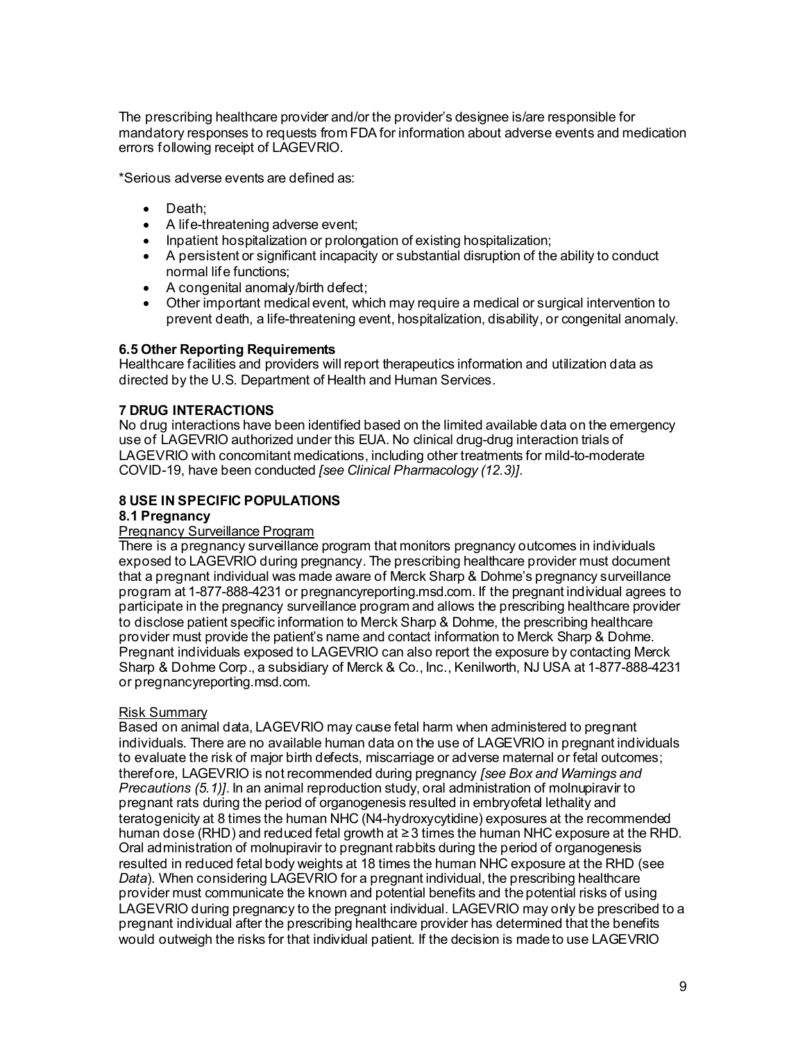The prescribing healthcare provider and/or the provider's designee is/are responsible for mandatory responses to requests from FDA for information about adverse events and medication errors following receipt of LAGEVRIO.

\*Serious adverse events are defined as:

- Death;
- A life-threatening adverse event;
- Inpatient hospitalization or prolongation of existing hospitalization;
- A persistent or significant incapacity or substantial disruption of the ability to conduct normal life functions;
- A congenital anomaly/birth defect;
- Other important medical event, which may require a medical or surgical intervention to prevent death, a life-threatening event, hospitalization, disability, or congenital anomaly.

# **6.5 Other Reporting Requirements**

Healthcare facilities and providers will report therapeutics information and utilization data as directed by the U.S. Department of Health and Human Services.

# **7 DRUG INTERACTIONS**

No drug interactions have been identified based on the limited available data on the emergency use of LAGEVRIO authorized under this EUA. No clinical drug-drug interaction trials of LAGEVRIO with concomitant medications, including other treatments for mild-to-moderate COVID-19, have been conducted *[see Clinical Pharmacology (12.3)].*

# **8 USE IN SPECIFIC POPULATIONS**

### **8.1 Pregnancy**

### Pregnancy Surveillance Program

There is a pregnancy surveillance program that monitors pregnancy outcomes in individuals exposed to LAGEVRIO during pregnancy. The prescribing healthcare provider must document that a pregnant individual was made aware of Merck Sharp & Dohme's pregnancy surveillance program at 1-877-888-4231 or pregnancyreporting.msd.com. If the pregnant individual agrees to participate in the pregnancy surveillance program and allows the prescribing healthcare provider to disclose patient specific information to Merck Sharp & Dohme, the prescribing healthcare provider must provide the patient's name and contact information to Merck Sharp & Dohme. Pregnant individuals exposed to LAGEVRIO can also report the exposure by contacting Merck Sharp & Dohme Corp., a subsidiary of Merck & Co., Inc., Kenilworth, NJ USA at 1-877-888-4231 or pregnancyreporting.msd.com.

### Risk Summary

Based on animal data, LAGEVRIO may cause fetal harm when administered to pregnant individuals. There are no available human data on the use of LAGEVRIO in pregnant individuals to evaluate the risk of major birth defects, miscarriage or adverse maternal or fetal outcomes; therefore, LAGEVRIO is not recommended during pregnancy *[see Box and Warnings and Precautions (5.1)]*. In an animal reproduction study, oral administration of molnupiravir to pregnant rats during the period of organogenesis resulted in embryofetal lethality and teratogenicity at 8 times the human NHC (N4-hydroxycytidine) exposures at the recommended human dose (RHD) and reduced fetal growth at ≥ 3 times the human NHC exposure at the RHD. Oral administration of molnupiravir to pregnant rabbits during the period of organogenesis resulted in reduced fetal body weights at 18 times the human NHC exposure at the RHD (see *Data*). When considering LAGEVRIO for a pregnant individual, the prescribing healthcare provider must communicate the known and potential benefits and the potential risks of using LAGEVRIO during pregnancy to the pregnant individual. LAGEVRIO may only be prescribed to a pregnant individual after the prescribing healthcare provider has determined that the benefits would outweigh the risks for that individual patient. If the decision is made to use LAGEVRIO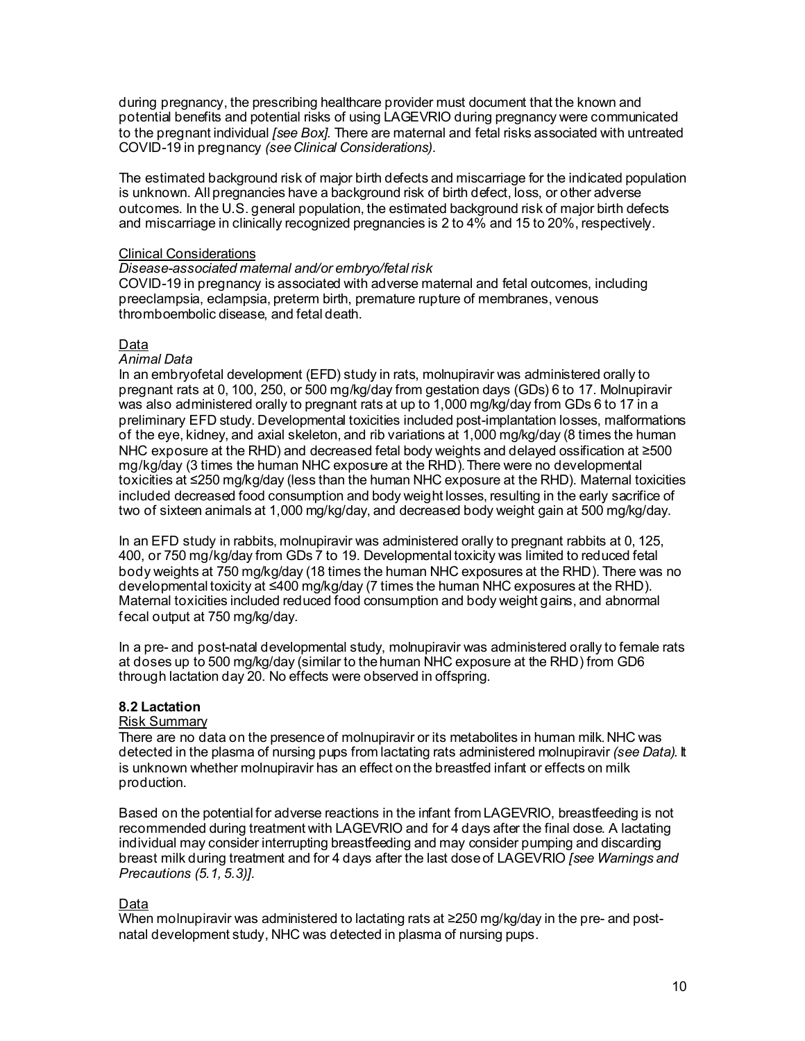during pregnancy, the prescribing healthcare provider must document that the known and potential benefits and potential risks of using LAGEVRIO during pregnancy were communicated to the pregnant individual *[see Box]*. There are maternal and fetal risks associated with untreated COVID-19 in pregnancy *(see Clinical Considerations)*.

The estimated background risk of major birth defects and miscarriage for the indicated population is unknown. All pregnancies have a background risk of birth defect, loss, or other adverse outcomes. In the U.S. general population, the estimated background risk of major birth defects and miscarriage in clinically recognized pregnancies is 2 to 4% and 15 to 20%, respectively.

### Clinical Considerations

### *Disease-associated maternal and/or embryo/fetal risk*

COVID-19 in pregnancy is associated with adverse maternal and fetal outcomes, including preeclampsia, eclampsia, preterm birth, premature rupture of membranes, venous thromboembolic disease, and fetal death.

# Data

# *Animal Data*

In an embryofetal development (EFD) study in rats, molnupiravir was administered orally to pregnant rats at 0, 100, 250, or 500 mg/kg/day from gestation days (GDs) 6 to 17. Molnupiravir was also administered orally to pregnant rats at up to 1,000 mg/kg/day from GDs 6 to 17 in a preliminary EFD study. Developmental toxicities included post-implantation losses, malformations of the eye, kidney, and axial skeleton, and rib variations at 1,000 mg/kg/day (8 times the human NHC exposure at the RHD) and decreased fetal body weights and delayed ossification at ≥500 mg/kg/day (3 times the human NHC exposure at the RHD). There were no developmental toxicities at ≤250 mg/kg/day (less than the human NHC exposure at the RHD). Maternal toxicities included decreased food consumption and body weight losses, resulting in the early sacrifice of two of sixteen animals at 1,000 mg/kg/day, and decreased body weight gain at 500 mg/kg/day.

In an EFD study in rabbits, molnupiravir was administered orally to pregnant rabbits at 0, 125, 400, or 750 mg/kg/day from GDs 7 to 19. Developmental toxicity was limited to reduced fetal body weights at 750 mg/kg/day (18 times the human NHC exposures at the RHD). There was no developmental toxicity at ≤400 mg/kg/day (7 times the human NHC exposures at the RHD). Maternal toxicities included reduced food consumption and body weight gains, and abnormal fecal output at 750 mg/kg/day.

In a pre- and post-natal developmental study, molnupiravir was administered orally to female rats at doses up to 500 mg/kg/day (similar to the human NHC exposure at the RHD) from GD6 through lactation day 20. No effects were observed in offspring.

# **8.2 Lactation**

### Risk Summary

There are no data on the presence of molnupiravir or its metabolites in human milk. NHC was detected in the plasma of nursing pups from lactating rats administered molnupiravir *(see Data)*. It is unknown whether molnupiravir has an effect on the breastfed infant or effects on milk production.

Based on the potential for adverse reactions in the infant from LAGEVRIO, breastfeeding is not recommended during treatment with LAGEVRIO and for 4 days after the final dose. A lactating individual may consider interrupting breastfeeding and may consider pumping and discarding breast milk during treatment and for 4 days after the last dose of LAGEVRIO *[see Warnings and Precautions (5.1, 5.3)].*

# Data

When molnupiravir was administered to lactating rats at ≥250 mg/kg/day in the pre- and postnatal development study, NHC was detected in plasma of nursing pups.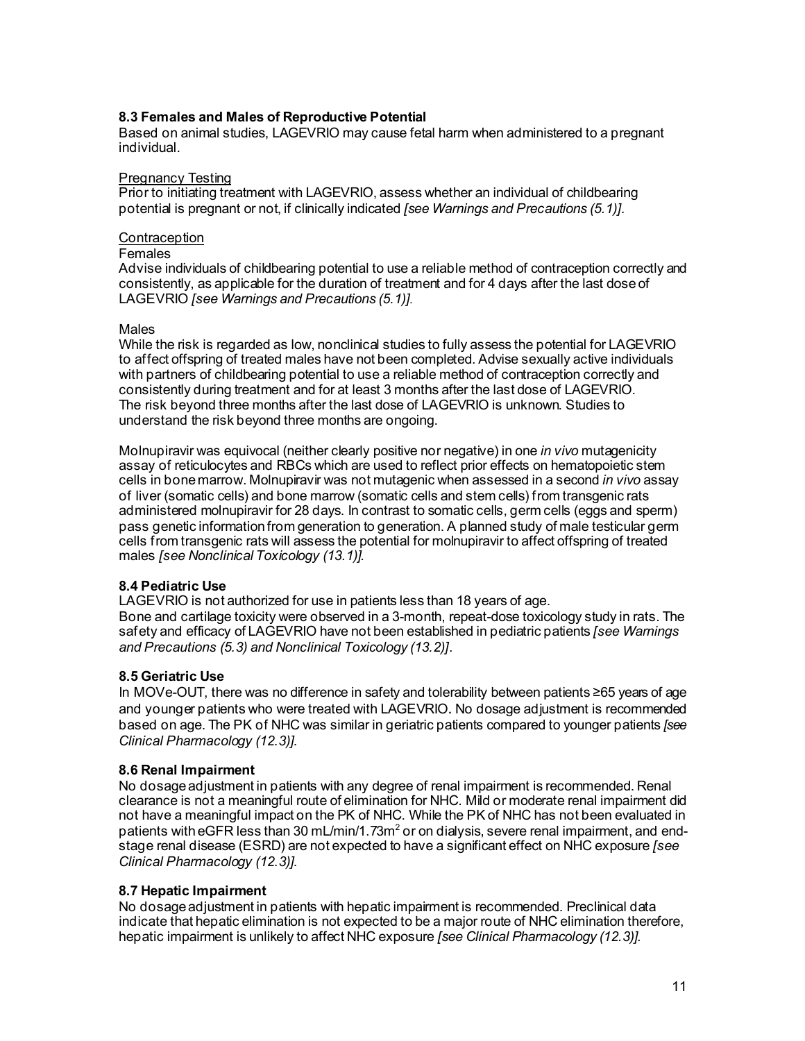# **8.3 Females and Males of Reproductive Potential**

Based on animal studies, LAGEVRIO may cause fetal harm when administered to a pregnant individual.

### Pregnancy Testing

Prior to initiating treatment with LAGEVRIO, assess whether an individual of childbearing potential is pregnant or not, if clinically indicated *[see Warnings and Precautions (5.1)].*

# **Contraception**

# Females

Advise individuals of childbearing potential to use a reliable method of contraception correctly and consistently, as applicable for the duration of treatment and for 4 days after the last dose of LAGEVRIO *[see Warnings and Precautions (5.1)].*

### Males

While the risk is regarded as low, nonclinical studies to fully assess the potential for LAGEVRIO to affect offspring of treated males have not been completed. Advise sexually active individuals with partners of childbearing potential to use a reliable method of contraception correctly and consistently during treatment and for at least 3 months after the last dose of LAGEVRIO. The risk beyond three months after the last dose of LAGEVRIO is unknown. Studies to understand the risk beyond three months are ongoing.

Molnupiravir was equivocal (neither clearly positive nor negative) in one *in vivo* mutagenicity assay of reticulocytes and RBCs which are used to reflect prior effects on hematopoietic stem cells in bone marrow. Molnupiravir was not mutagenic when assessed in a second *in vivo* assay of liver (somatic cells) and bone marrow (somatic cells and stem cells) from transgenic rats administered molnupiravir for 28 days. In contrast to somatic cells, germ cells (eggs and sperm) pass genetic information from generation to generation. A planned study of male testicular germ cells from transgenic rats will assess the potential for molnupiravir to affect offspring of treated males *[see Nonclinical Toxicology (13.1)].*

### **8.4 Pediatric Use**

LAGEVRIO is not authorized for use in patients less than 18 years of age.

Bone and cartilage toxicity were observed in a 3-month, repeat-dose toxicology study in rats. The safety and efficacy of LAGEVRIO have not been established in pediatric patients *[see Warnings and Precautions (5.3) and Nonclinical Toxicology (13.2)]*.

### **8.5 Geriatric Use**

In MOVe-OUT, there was no difference in safety and tolerability between patients ≥65 years of age and younger patients who were treated with LAGEVRIO. No dosage adjustment is recommended based on age. The PK of NHC was similar in geriatric patients compared to younger patients *[see Clinical Pharmacology (12.3)]*.

### **8.6 Renal Impairment**

No dosage adjustment in patients with any degree of renal impairment is recommended. Renal clearance is not a meaningful route of elimination for NHC. Mild or moderate renal impairment did not have a meaningful impact on the PK of NHC. While the PK of NHC has not been evaluated in patients with eGFR less than 30 mL/min/1.73 $m<sup>2</sup>$  or on dialysis, severe renal impairment, and endstage renal disease (ESRD) are not expected to have a significant effect on NHC exposure *[see Clinical Pharmacology (12.3)]*.

### **8.7 Hepatic Impairment**

No dosage adjustment in patients with hepatic impairment is recommended. Preclinical data indicate that hepatic elimination is not expected to be a major route of NHC elimination therefore, hepatic impairment is unlikely to affect NHC exposure *[see Clinical Pharmacology (12.3)]*.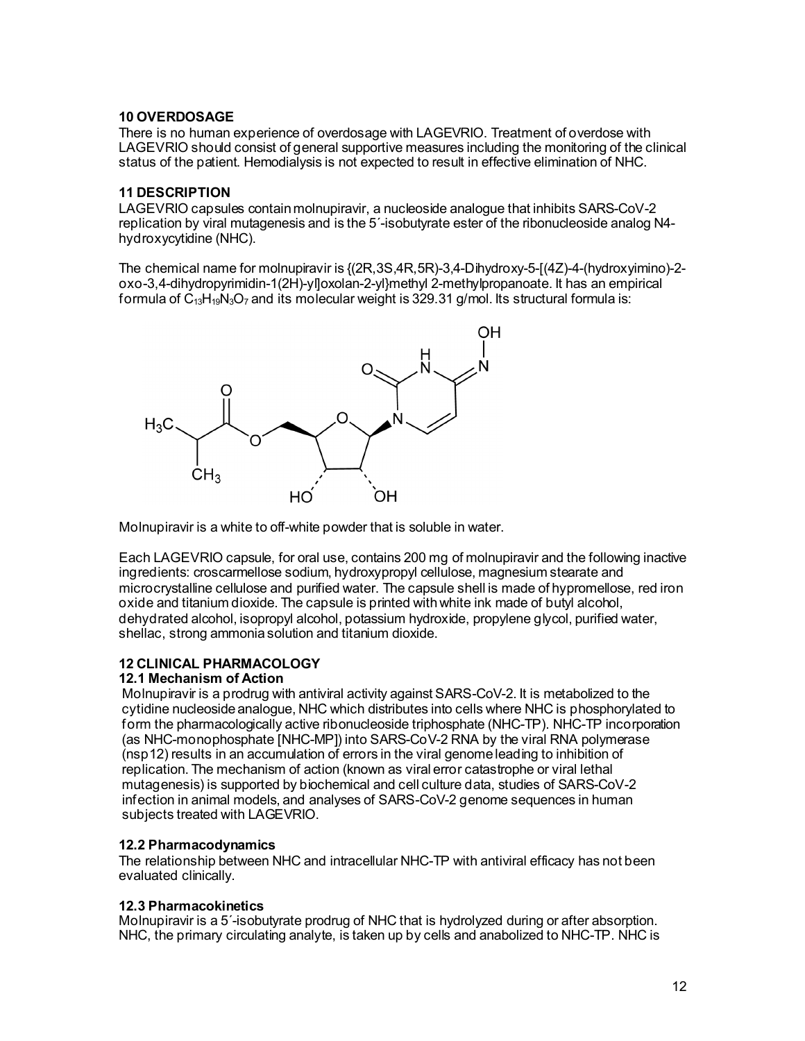### **10 OVERDOSAGE**

There is no human experience of overdosage with LAGEVRIO. Treatment of overdose with LAGEVRIO should consist of general supportive measures including the monitoring of the clinical status of the patient. Hemodialysis is not expected to result in effective elimination of NHC.

# **11 DESCRIPTION**

LAGEVRIO capsules contain molnupiravir, a nucleoside analogue that inhibits SARS-CoV-2 replication by viral mutagenesis and is the 5´-isobutyrate ester of the ribonucleoside analog N4 hydroxycytidine (NHC).

The chemical name for molnupiravir is {(2R,3S,4R,5R)-3,4-Dihydroxy-5-[(4Z)-4-(hydroxyimino)-2 oxo-3,4-dihydropyrimidin-1(2H)-yl]oxolan-2-yl}methyl 2-methylpropanoate. It has an empirical formula of C13H19N3O7 and its molecular weight is 329.31 g/mol. Its structural formula is:



Molnupiravir is a white to off-white powder that is soluble in water.

Each LAGEVRIO capsule, for oral use, contains 200 mg of molnupiravir and the following inactive ingredients: croscarmellose sodium, hydroxypropyl cellulose, magnesium stearate and microcrystalline cellulose and purified water. The capsule shell is made of hypromellose, red iron oxide and titanium dioxide. The capsule is printed with white ink made of butyl alcohol, dehydrated alcohol, isopropyl alcohol, potassium hydroxide, propylene glycol, purified water, shellac, strong ammonia solution and titanium dioxide.

# **12 CLINICAL PHARMACOLOGY**

# **12.1 Mechanism of Action**

Molnupiravir is a prodrug with antiviral activity against SARS-CoV-2. It is metabolized to the cytidine nucleoside analogue, NHC which distributes into cells where NHC is phosphorylated to form the pharmacologically active ribonucleoside triphosphate (NHC-TP). NHC-TP incorporation (as NHC-monophosphate [NHC-MP]) into SARS-CoV-2 RNA by the viral RNA polymerase (nsp12) results in an accumulation of errors in the viral genome leading to inhibition of replication. The mechanism of action (known as viral error catastrophe or viral lethal mutagenesis) is supported by biochemical and cell culture data, studies of SARS-CoV-2 infection in animal models, and analyses of SARS-CoV-2 genome sequences in human subjects treated with LAGEVRIO.

# **12.2 Pharmacodynamics**

The relationship between NHC and intracellular NHC-TP with antiviral efficacy has not been evaluated clinically.

# **12.3 Pharmacokinetics**

Molnupiravir is a 5´-isobutyrate prodrug of NHC that is hydrolyzed during or after absorption. NHC, the primary circulating analyte, is taken up by cells and anabolized to NHC-TP. NHC is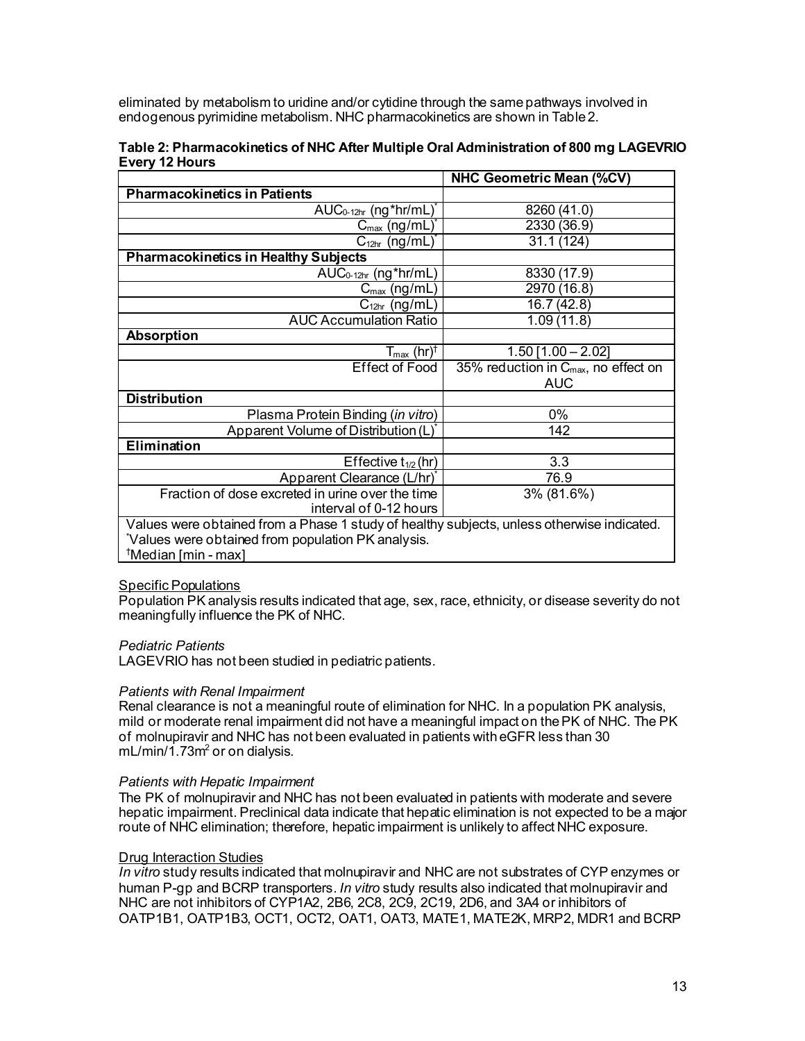eliminated by metabolism to uridine and/or cytidine through the same pathways involved in endogenous pyrimidine metabolism. NHC pharmacokinetics are shown in Table 2.

|                                                                                            | <b>NHC Geometric Mean (%CV)</b>                  |  |
|--------------------------------------------------------------------------------------------|--------------------------------------------------|--|
| <b>Pharmacokinetics in Patients</b>                                                        |                                                  |  |
| $AUC_{0-12hr}$ (ng*hr/mL)                                                                  | 8260 (41.0)                                      |  |
| $C_{\text{max}}$ (ng/mL)                                                                   | 2330 (36.9)                                      |  |
| $C_{12hr}$ (ng/mL)                                                                         | 31.1 (124)                                       |  |
| <b>Pharmacokinetics in Healthy Subjects</b>                                                |                                                  |  |
| AUC <sub>0-12hr</sub> (ng*hr/mL)                                                           | 8330 (17.9)                                      |  |
| $C_{\text{max}}$ (ng/mL)                                                                   | 2970 (16.8)                                      |  |
| $C_{12hr}$ (ng/mL)                                                                         | 16.7(42.8)                                       |  |
| <b>AUC Accumulation Ratio</b>                                                              | 1.09(11.8)                                       |  |
| <b>Absorption</b>                                                                          |                                                  |  |
| $T_{\text{max}}$ (hr) <sup>†</sup>                                                         | $1.50$ [1.00 - 2.02]                             |  |
| <b>Effect of Food</b>                                                                      | 35% reduction in $C_{\text{max}}$ , no effect on |  |
|                                                                                            | <b>AUC</b>                                       |  |
| <b>Distribution</b>                                                                        |                                                  |  |
| Plasma Protein Binding (in vitro)                                                          | 0%                                               |  |
| Apparent Volume of Distribution (L)*                                                       | 142                                              |  |
| Elimination                                                                                |                                                  |  |
| Effective $t_{1/2}$ (hr)                                                                   | 3.3                                              |  |
| Apparent Clearance (L/hr)*                                                                 | 76.9                                             |  |
| Fraction of dose excreted in urine over the time                                           | 3% (81.6%)                                       |  |
| interval of 0-12 hours                                                                     |                                                  |  |
| Values were obtained from a Phase 1 study of healthy subjects, unless otherwise indicated. |                                                  |  |
| Values were obtained from population PK analysis.                                          |                                                  |  |
| <sup>†</sup> Median [min - max]                                                            |                                                  |  |

### **Table 2: Pharmacokinetics of NHC After Multiple Oral Administration of 800 mg LAGEVRIO Every 12 Hours**

### Specific Populations

Population PK analysis results indicated that age, sex, race, ethnicity, or disease severity do not meaningfully influence the PK of NHC.

# *Pediatric Patients*

LAGEVRIO has not been studied in pediatric patients.

### *Patients with Renal Impairment*

Renal clearance is not a meaningful route of elimination for NHC. In a population PK analysis, mild or moderate renal impairment did not have a meaningful impact on the PK of NHC. The PK of molnupiravir and NHC has not been evaluated in patients with eGFR less than 30  $mL/min/1.73m<sup>2</sup>$  or on dialysis.

### *Patients with Hepatic Impairment*

The PK of molnupiravir and NHC has not been evaluated in patients with moderate and severe hepatic impairment. Preclinical data indicate that hepatic elimination is not expected to be a major route of NHC elimination; therefore, hepatic impairment is unlikely to affect NHC exposure.

# **Drug Interaction Studies**

*In vitro* study results indicated that molnupiravir and NHC are not substrates of CYP enzymes or human P-gp and BCRP transporters. *In vitro* study results also indicated that molnupiravir and NHC are not inhibitors of CYP1A2, 2B6, 2C8, 2C9, 2C19, 2D6, and 3A4 or inhibitors of OATP1B1, OATP1B3, OCT1, OCT2, OAT1, OAT3, MATE1, MATE2K, MRP2, MDR1 and BCRP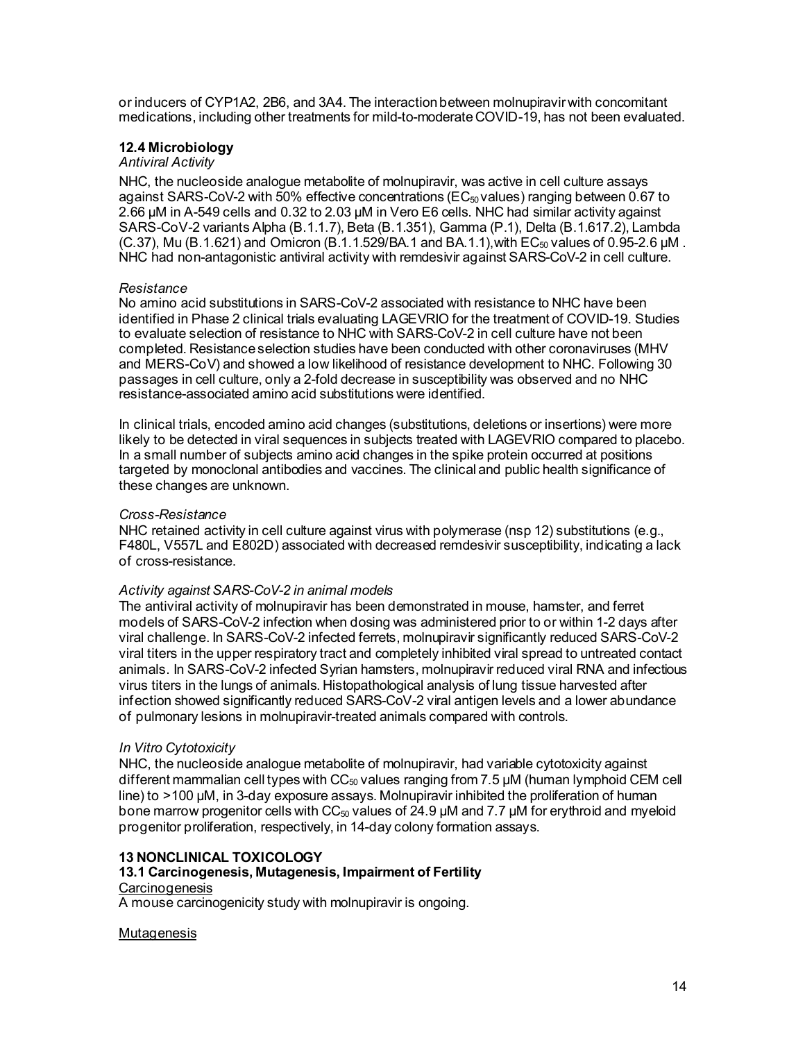or inducers of CYP1A2, 2B6, and 3A4. The interaction between molnupiravirwith concomitant medications, including other treatments for mild-to-moderate COVID-19, has not been evaluated.

# **12.4 Microbiology**

# *Antiviral Activity*

NHC, the nucleoside analogue metabolite of molnupiravir, was active in cell culture assays against SARS-CoV-2 with 50% effective concentrations (EC50 values) ranging between 0.67 to 2.66 µM in A-549 cells and 0.32 to 2.03 µM in Vero E6 cells. NHC had similar activity against SARS-CoV-2 variants Alpha (B.1.1.7), Beta (B.1.351), Gamma (P.1), Delta (B.1.617.2), Lambda  $(C.37)$ , Mu  $(B.1.621)$  and Omicron  $(B.1.1.529/BA.1$  and BA.1.1), with  $EC_{50}$  values of 0.95-2.6 µM. NHC had non-antagonistic antiviral activity with remdesivir against SARS-CoV-2 in cell culture.

# *Resistance*

No amino acid substitutions in SARS-CoV-2 associated with resistance to NHC have been identified in Phase 2 clinical trials evaluating LAGEVRIO for the treatment of COVID-19. Studies to evaluate selection of resistance to NHC with SARS-CoV-2 in cell culture have not been completed. Resistance selection studies have been conducted with other coronaviruses (MHV and MERS-CoV) and showed a low likelihood of resistance development to NHC. Following 30 passages in cell culture, only a 2-fold decrease in susceptibility was observed and no NHC resistance-associated amino acid substitutions were identified.

In clinical trials, encoded amino acid changes (substitutions, deletions or insertions) were more likely to be detected in viral sequences in subjects treated with LAGEVRIO compared to placebo. In a small number of subjects amino acid changes in the spike protein occurred at positions targeted by monoclonal antibodies and vaccines. The clinical and public health significance of these changes are unknown.

### *Cross-Resistance*

NHC retained activity in cell culture against virus with polymerase (nsp 12) substitutions (e.g., F480L, V557L and E802D) associated with decreased remdesivir susceptibility, indicating a lack of cross-resistance.

### *Activity against SARS-CoV-2 in animal models*

The antiviral activity of molnupiravir has been demonstrated in mouse, hamster, and ferret models of SARS-CoV-2 infection when dosing was administered prior to or within 1-2 days after viral challenge. In SARS-CoV-2 infected ferrets, molnupiravir significantly reduced SARS-CoV-2 viral titers in the upper respiratory tract and completely inhibited viral spread to untreated contact animals. In SARS-CoV-2 infected Syrian hamsters, molnupiravir reduced viral RNA and infectious virus titers in the lungs of animals. Histopathological analysis of lung tissue harvested after infection showed significantly reduced SARS-CoV-2 viral antigen levels and a lower abundance of pulmonary lesions in molnupiravir-treated animals compared with controls.

# *In Vitro Cytotoxicity*

NHC, the nucleoside analogue metabolite of molnupiravir, had variable cytotoxicity against different mammalian cell types with  $CC_{50}$  values ranging from 7.5  $\mu$ M (human lymphoid CEM cell line) to >100 μM, in 3-day exposure assays. Molnupiravir inhibited the proliferation of human bone marrow progenitor cells with  $CC_{50}$  values of 24.9  $\mu$ M and 7.7  $\mu$ M for erythroid and myeloid progenitor proliferation, respectively, in 14-day colony formation assays.

# **13 NONCLINICAL TOXICOLOGY**

# **13.1 Carcinogenesis, Mutagenesis, Impairment of Fertility**

# **Carcinogenesis**

A mouse carcinogenicity study with molnupiravir is ongoing.

### **Mutagenesis**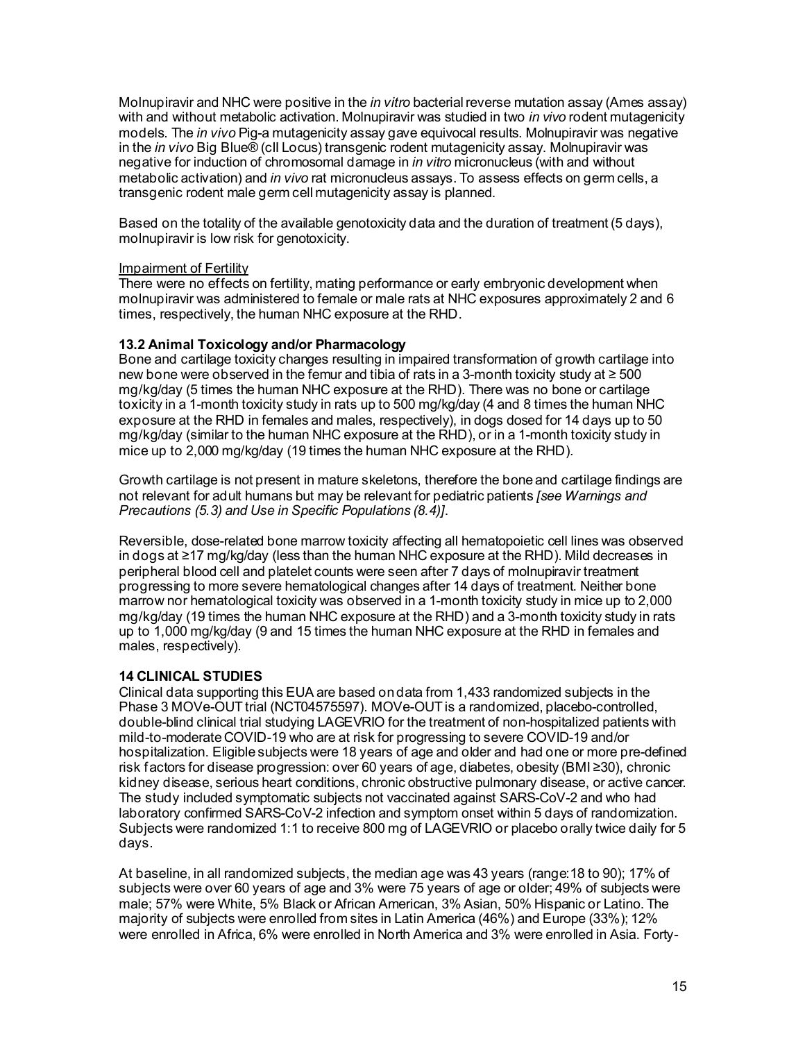Molnupiravir and NHC were positive in the *in vitro* bacterial reverse mutation assay (Ames assay) with and without metabolic activation. Molnupiravir was studied in two *in vivo* rodent mutagenicity models. The *in vivo* Pig-a mutagenicity assay gave equivocal results. Molnupiravir was negative in the *in vivo* Big Blue® (cII Locus) transgenic rodent mutagenicity assay. Molnupiravir was negative for induction of chromosomal damage in *in vitro* micronucleus (with and without metabolic activation) and *in vivo* rat micronucleus assays. To assess effects on germ cells, a transgenic rodent male germ cell mutagenicity assay is planned.

Based on the totality of the available genotoxicity data and the duration of treatment (5 days), molnupiravir is low risk for genotoxicity.

# Impairment of Fertility

There were no effects on fertility, mating performance or early embryonic development when molnupiravir was administered to female or male rats at NHC exposures approximately 2 and 6 times, respectively, the human NHC exposure at the RHD.

# **13.2 Animal Toxicology and/or Pharmacology**

Bone and cartilage toxicity changes resulting in impaired transformation of growth cartilage into new bone were observed in the femur and tibia of rats in a 3-month toxicity study at ≥ 500 mg/kg/day (5 times the human NHC exposure at the RHD). There was no bone or cartilage toxicity in a 1-month toxicity study in rats up to 500 mg/kg/day (4 and 8 times the human NHC exposure at the RHD in females and males, respectively), in dogs dosed for 14 days up to 50 mg/kg/day (similar to the human NHC exposure at the RHD), or in a 1-month toxicity study in mice up to 2,000 mg/kg/day (19 times the human NHC exposure at the RHD).

Growth cartilage is not present in mature skeletons, therefore the bone and cartilage findings are not relevant for adult humans but may be relevant for pediatric patients *[see Warnings and Precautions (5.3) and Use in Specific Populations (8.4)]*.

Reversible, dose-related bone marrow toxicity affecting all hematopoietic cell lines was observed in dogs at ≥17 mg/kg/day (less than the human NHC exposure at the RHD). Mild decreases in peripheral blood cell and platelet counts were seen after 7 days of molnupiravir treatment progressing to more severe hematological changes after 14 days of treatment. Neither bone marrow nor hematological toxicity was observed in a 1-month toxicity study in mice up to 2,000 mg/kg/day (19 times the human NHC exposure at the RHD) and a 3-month toxicity study in rats up to 1,000 mg/kg/day (9 and 15 times the human NHC exposure at the RHD in females and males, respectively).

# **14 CLINICAL STUDIES**

Clinical data supporting this EUA are based on data from 1,433 randomized subjects in the Phase 3 MOVe-OUT trial (NCT04575597). MOVe-OUT is a randomized, placebo-controlled, double-blind clinical trial studying LAGEVRIO for the treatment of non-hospitalized patients with mild-to-moderate COVID-19 who are at risk for progressing to severe COVID-19 and/or hospitalization. Eligible subjects were 18 years of age and older and had one or more pre-defined risk factors for disease progression: over 60 years of age, diabetes, obesity (BMI ≥30), chronic kidney disease, serious heart conditions, chronic obstructive pulmonary disease, or active cancer. The study included symptomatic subjects not vaccinated against SARS-CoV-2 and who had laboratory confirmed SARS-CoV-2 infection and symptom onset within 5 days of randomization. Subjects were randomized 1:1 to receive 800 mg of LAGEVRIO or placebo orally twice daily for 5 days.

At baseline, in all randomized subjects, the median age was 43 years (range:18 to 90); 17% of subjects were over 60 years of age and 3% were 75 years of age or older; 49% of subjects were male; 57% were White, 5% Black or African American, 3% Asian, 50% Hispanic or Latino. The majority of subjects were enrolled from sites in Latin America (46%) and Europe (33%); 12% were enrolled in Africa, 6% were enrolled in North America and 3% were enrolled in Asia. Forty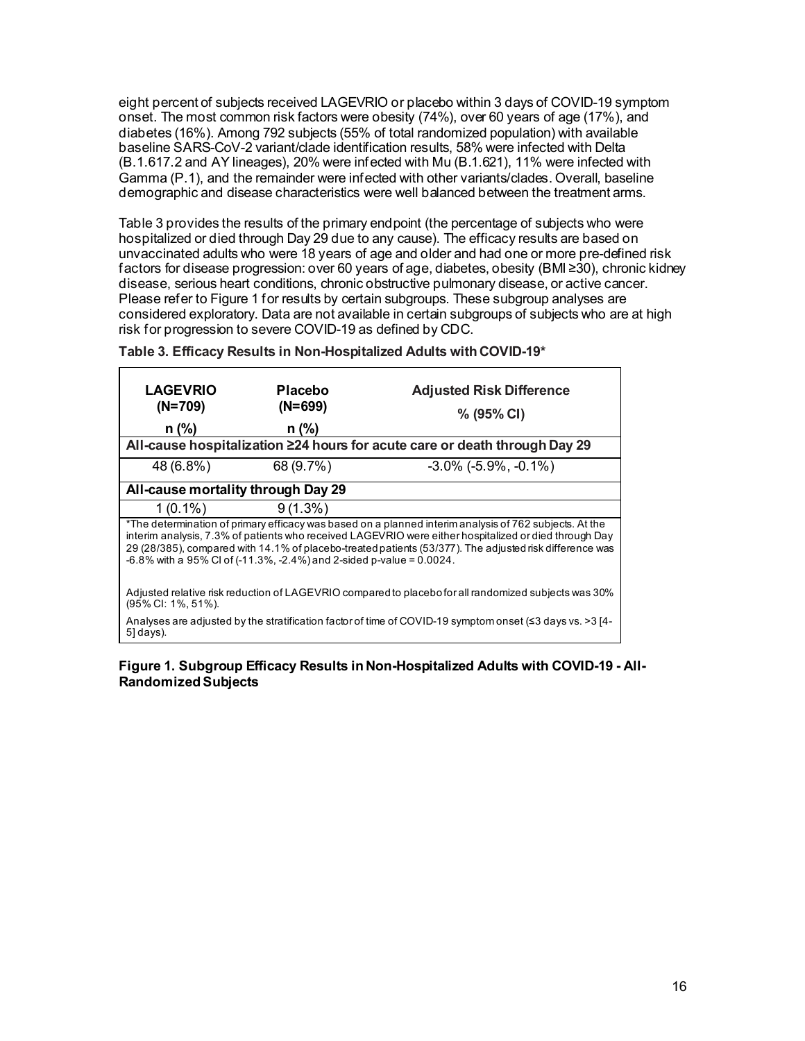eight percent of subjects received LAGEVRIO or placebo within 3 days of COVID-19 symptom onset. The most common risk factors were obesity (74%), over 60 years of age (17%), and diabetes (16%). Among 792 subjects (55% of total randomized population) with available baseline SARS-CoV-2 variant/clade identification results, 58% were infected with Delta (B.1.617.2 and AY lineages), 20% were infected with Mu (B.1.621), 11% were infected with Gamma (P.1), and the remainder were infected with other variants/clades. Overall, baseline demographic and disease characteristics were well balanced between the treatment arms.

Table 3 provides the results of the primary endpoint (the percentage of subjects who were hospitalized or died through Day 29 due to any cause). The efficacy results are based on unvaccinated adults who were 18 years of age and older and had one or more pre-defined risk factors for disease progression: over 60 years of age, diabetes, obesity (BMI ≥30), chronic kidney disease, serious heart conditions, chronic obstructive pulmonary disease, or active cancer. Please refer to Figure 1 for results by certain subgroups. These subgroup analyses are considered exploratory. Data are not available in certain subgroups of subjects who are at high risk for progression to severe COVID-19 as defined by CDC.

| <b>LAGEVRIO</b><br>$(N=709)$<br>$n$ (%)                                                                                                                                                                                                                                                                                                                                                               | <b>Placebo</b><br>$(N=699)$<br>$n$ (%) | <b>Adjusted Risk Difference</b><br>$% (95\% CI)$<br>All-cause hospitalization ≥24 hours for acute care or death through Day 29 |  |
|-------------------------------------------------------------------------------------------------------------------------------------------------------------------------------------------------------------------------------------------------------------------------------------------------------------------------------------------------------------------------------------------------------|----------------------------------------|--------------------------------------------------------------------------------------------------------------------------------|--|
| 48 (6.8%)                                                                                                                                                                                                                                                                                                                                                                                             | 68 (9.7%)                              | $-3.0\%$ ( $-5.9\%$ , $-0.1\%$ )                                                                                               |  |
| All-cause mortality through Day 29                                                                                                                                                                                                                                                                                                                                                                    |                                        |                                                                                                                                |  |
| $1(0.1\%)$                                                                                                                                                                                                                                                                                                                                                                                            | $9(1.3\%)$                             |                                                                                                                                |  |
| *The determination of primary efficacy was based on a planned interim analysis of 762 subjects. At the<br>interim analysis, 7.3% of patients who received LAGEVRIO were either hospitalized or died through Day<br>29 (28/385), compared with 14.1% of placebo-treated patients (53/377). The adjusted risk difference was<br>$-6.8\%$ with a 95% Cl of (-11.3%, -2.4%) and 2-sided p-value = 0.0024. |                                        |                                                                                                                                |  |
| Adjusted relative risk reduction of LAGEVRIO compared to placebo for all randomized subjects was 30%<br>(95% CI: 1%, 51%).                                                                                                                                                                                                                                                                            |                                        |                                                                                                                                |  |
| Analyses are adjusted by the stratification factor of time of COVID-19 symptom onset ( $\leq$ 3 days vs. >3 [4-<br>5] days).                                                                                                                                                                                                                                                                          |                                        |                                                                                                                                |  |

**Table 3. Efficacy Results in Non-Hospitalized Adults with COVID-19\***

### **Figure 1. Subgroup Efficacy Results in Non-Hospitalized Adults with COVID-19 - All-Randomized Subjects**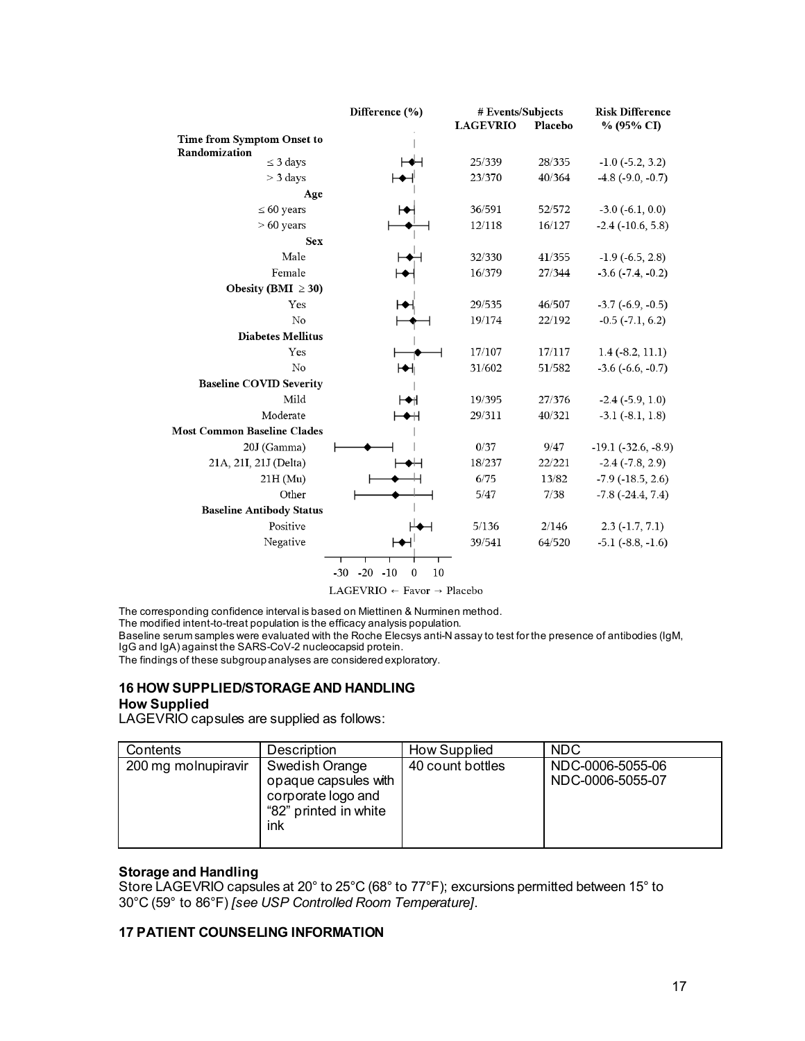|                                    | Difference (%)                          | # Events/Subjects |         | <b>Risk Difference</b>     |
|------------------------------------|-----------------------------------------|-------------------|---------|----------------------------|
|                                    |                                         | <b>LAGEVRIO</b>   | Placebo | % (95% CI)                 |
| Time from Symptom Onset to         |                                         |                   |         |                            |
| Randomization<br>$\leq$ 3 days     |                                         | 25/339            | 28/335  | $-1.0$ $(-5.2, 3.2)$       |
| $>$ 3 days                         |                                         | 23/370            | 40/364  | $-4.8$ ( $-9.0, -0.7$ )    |
| Age                                |                                         |                   |         |                            |
| $\leq 60$ years                    |                                         | 36/591            | 52/572  | $-3.0$ $(-6.1, 0.0)$       |
| $>60$ years                        |                                         | 12/118            | 16/127  | $-2.4$ ( $-10.6, 5.8$ )    |
| <b>Sex</b>                         |                                         |                   |         |                            |
| Male                               |                                         | 32/330            | 41/355  | $-1.9$ ( $-6.5$ , 2.8)     |
| Female                             |                                         | 16/379            | 27/344  | $-3.6$ $(-7.4, -0.2)$      |
| Obesity (BMI $\geq$ 30)            |                                         |                   |         |                            |
| Yes                                |                                         | 29/535            | 46/507  | $-3.7$ $(-6.9, -0.5)$      |
| No                                 |                                         | 19/174            | 22/192  | $-0.5$ $(-7.1, 6.2)$       |
| <b>Diabetes Mellitus</b>           |                                         |                   |         |                            |
| Yes                                |                                         | 17/107            | 17/117  | $1.4$ (-8.2, 11.1)         |
| No                                 | Ѩ                                       | 31/602            | 51/582  | $-3.6$ $(-6.6, -0.7)$      |
| <b>Baseline COVID Severity</b>     |                                         |                   |         |                            |
| Mild                               | ⊢⊷                                      | 19/395            | 27/376  | $-2.4(-5.9, 1.0)$          |
| Moderate                           | ◆₩                                      | 29/311            | 40/321  | $-3.1(-8.1, 1.8)$          |
| <b>Most Common Baseline Clades</b> |                                         |                   |         |                            |
| 20J (Gamma)                        |                                         | 0/37              | 9/47    | $-19.1(-32.6, -8.9)$       |
| 21A, 21I, 21J (Delta)              |                                         | 18/237            | 22/221  | $-2.4$ ( $-7.8$ , 2.9)     |
| $21H$ (Mu)                         |                                         | 6/75              | 13/82   | $-7.9$ ( $-18.5$ , 2.6)    |
| Other                              |                                         | 5/47              | 7/38    | $-7.8$ ( $-24.4$ , $7.4$ ) |
| <b>Baseline Antibody Status</b>    |                                         |                   |         |                            |
| Positive                           |                                         | 5/136             | 2/146   | $2.3(-1.7, 7.1)$           |
| Negative                           |                                         | 39/541            | 64/520  | $-5.1$ $(-8.8, -1.6)$      |
|                                    |                                         |                   |         |                            |
|                                    | $-30 -20 -10$<br>$\boldsymbol{0}$<br>10 |                   |         |                            |

 $\text{LAGEVRIO} \leftarrow \text{Favor} \rightarrow \text{Placebo}$ 

The corresponding confidence interval is based on Miettinen & Nurminen method.

The modified intent-to-treat population is the efficacy analysis population.

Baseline serum samples were evaluated with the Roche Elecsys anti-N assay to test for the presence of antibodies (IgM, IgG and IgA) against the SARS-CoV-2 nucleocapsid protein.

The findings of these subgroup analyses are considered exploratory.

### **16 HOW SUPPLIED/STORAGE AND HANDLING How Supplied**

LAGEVRIO capsules are supplied as follows:

| Contents            | Description                                                                                  | How Supplied     | <b>NDC</b>                           |
|---------------------|----------------------------------------------------------------------------------------------|------------------|--------------------------------------|
| 200 mg molnupiravir | Swedish Orange<br>opaque capsules with<br>corporate logo and<br>"82" printed in white<br>ink | 40 count bottles | NDC-0006-5055-06<br>NDC-0006-5055-07 |

### **Storage and Handling**

Store LAGEVRIO capsules at 20° to 25°C (68° to 77°F); excursions permitted between 15° to 30°C (59° to 86°F) *[see USP Controlled Room Temperature]*.

## **17 PATIENT COUNSELING INFORMATION**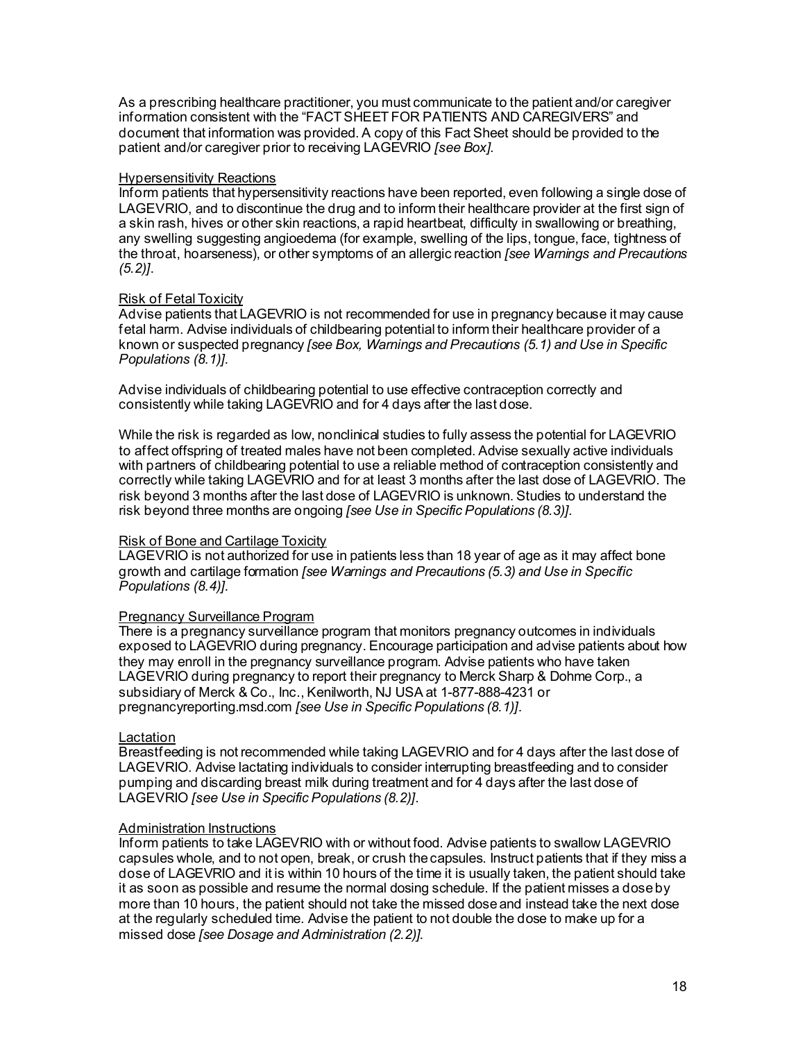As a prescribing healthcare practitioner, you must communicate to the patient and/or caregiver information consistent with the "FACT SHEET FOR PATIENTS AND CAREGIVERS" and document that information was provided. A copy of this Fact Sheet should be provided to the patient and/or caregiver prior to receiving LAGEVRIO *[see Box]*.

# **Hypersensitivity Reactions**

Inform patients that hypersensitivity reactions have been reported, even following a single dose of LAGEVRIO, and to discontinue the drug and to inform their healthcare provider at the first sign of a skin rash, hives or other skin reactions, a rapid heartbeat, difficulty in swallowing or breathing, any swelling suggesting angioedema (for example, swelling of the lips, tongue, face, tightness of the throat, hoarseness), or other symptoms of an allergic reaction *[see Warnings and Precautions (5.2)]*.

# Risk of Fetal Toxicity

Advise patients that LAGEVRIO is not recommended for use in pregnancy because it may cause fetal harm. Advise individuals of childbearing potential to inform their healthcare provider of a known or suspected pregnancy *[see Box, Warnings and Precautions (5.1) and Use in Specific Populations (8.1)].*

Advise individuals of childbearing potential to use effective contraception correctly and consistently while taking LAGEVRIO and for 4 days after the last dose.

While the risk is regarded as low, nonclinical studies to fully assess the potential for LAGEVRIO to affect offspring of treated males have not been completed. Advise sexually active individuals with partners of childbearing potential to use a reliable method of contraception consistently and correctly while taking LAGEVRIO and for at least 3 months after the last dose of LAGEVRIO. The risk beyond 3 months after the last dose of LAGEVRIO is unknown. Studies to understand the risk beyond three months are ongoing *[see Use in Specific Populations (8.3)].*

### Risk of Bone and Cartilage Toxicity

LAGEVRIO is not authorized for use in patients less than 18 year of age as it may affect bone growth and cartilage formation *[see Warnings and Precautions (5.3) and Use in Specific Populations (8.4)].*

### Pregnancy Surveillance Program

There is a pregnancy surveillance program that monitors pregnancy outcomes in individuals exposed to LAGEVRIO during pregnancy. Encourage participation and advise patients about how they may enroll in the pregnancy surveillance program. Advise patients who have taken LAGEVRIO during pregnancy to report their pregnancy to Merck Sharp & Dohme Corp., a subsidiary of Merck & Co., Inc., Kenilworth, NJ USA at 1-877-888-4231 or pregnancyreporting.msd.com *[see Use in Specific Populations (8.1)]*.

# Lactation

Breastfeeding is not recommended while taking LAGEVRIO and for 4 days after the last dose of LAGEVRIO. Advise lactating individuals to consider interrupting breastfeeding and to consider pumping and discarding breast milk during treatment and for 4 days after the last dose of LAGEVRIO *[see Use in Specific Populations (8.2)]*.

# Administration Instructions

Inform patients to take LAGEVRIO with or without food. Advise patients to swallow LAGEVRIO capsules whole, and to not open, break, or crush the capsules. Instruct patients that if they miss a dose of LAGEVRIO and it is within 10 hours of the time it is usually taken, the patient should take it as soon as possible and resume the normal dosing schedule. If the patient misses a dose by more than 10 hours, the patient should not take the missed dose and instead take the next dose at the regularly scheduled time. Advise the patient to not double the dose to make up for a missed dose *[see Dosage and Administration (2.2)]*.